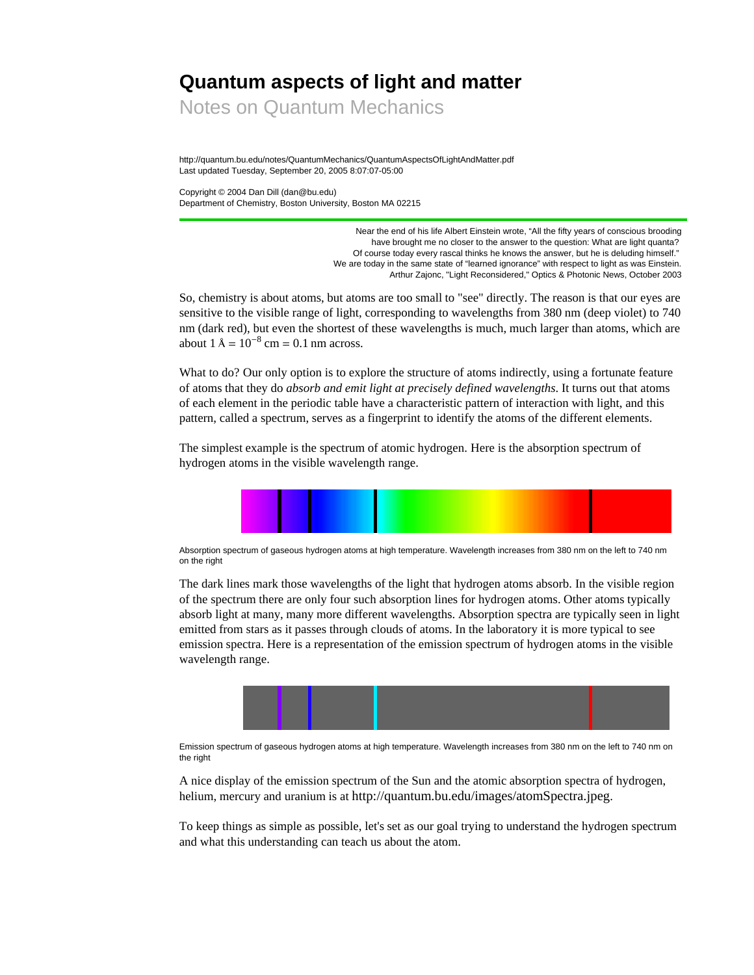# **Quantum aspects of light and matter**

Notes on Quantum Mechanics

http://quantum.bu.edu/notes/QuantumMechanics/QuantumAspectsOfLightAndMatter.pdf Last updated Tuesday, September 20, 2005 8:07:07-05:00

Copyright © 2004 Dan Dill (dan@bu.edu) Department of Chemistry, Boston University, Boston MA 02215

> Near the end of his life Albert Einstein wrote, "All the fifty years of conscious brooding have brought me no closer to the answer to the question: What are light quanta? Of course today every rascal thinks he knows the answer, but he is deluding himself." We are today in the same state of "learned ignorance" with respect to light as was Einstein. Arthur Zajonc, "Light Reconsidered," Optics & Photonic News, October 2003

So, chemistry is about atoms, but atoms are too small to "see" directly. The reason is that our eyes are sensitive to the visible range of light, corresponding to wavelengths from 380 nm (deep violet) to 740 nm (dark red), but even the shortest of these wavelengths is much, much larger than atoms, which are about  $1 \text{ Å} = 10^{-8} \text{ cm} = 0.1 \text{ nm}$  across.

What to do? Our only option is to explore the structure of atoms indirectly, using a fortunate feature of atoms that they do *absorb and emit light at precisely defined wavelengths*. It turns out that atoms of each element in the periodic table have a characteristic pattern of interaction with light, and this pattern, called a spectrum, serves as a fingerprint to identify the atoms of the different elements.

The simplest example is the spectrum of atomic hydrogen. Here is the absorption spectrum of hydrogen atoms in the visible wavelength range.



Absorption spectrum of gaseous hydrogen atoms at high temperature. Wavelength increases from 380 nm on the left to 740 nm on the right

The dark lines mark those wavelengths of the light that hydrogen atoms absorb. In the visible region of the spectrum there are only four such absorption lines for hydrogen atoms. Other atoms typically absorb light at many, many more different wavelengths. Absorption spectra are typically seen in light emitted from stars as it passes through clouds of atoms. In the laboratory it is more typical to see emission spectra. Here is a representation of the emission spectrum of hydrogen atoms in the visible wavelength range.



Emission spectrum of gaseous hydrogen atoms at high temperature. Wavelength increases from 380 nm on the left to 740 nm on the right

A nice display of the emission spectrum of the Sun and the atomic absorption spectra of hydrogen, helium, mercury and uranium is at http://quantum.bu.edu/images/atomSpectra.jpeg.

To keep things as simple as possible, let's set as our goal trying to understand the hydrogen spectrum and what this understanding can teach us about the atom.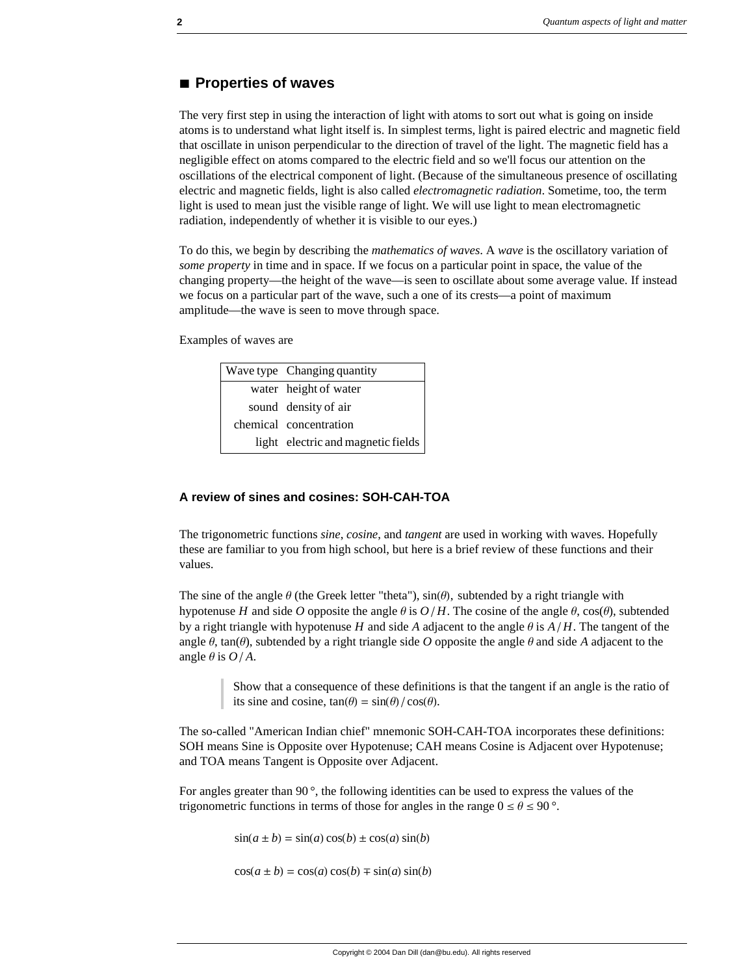## **à Properties of waves**

The very first step in using the interaction of light with atoms to sort out what is going on inside atoms is to understand what light itself is. In simplest terms, light is paired electric and magnetic field that oscillate in unison perpendicular to the direction of travel of the light. The magnetic field has a negligible effect on atoms compared to the electric field and so we'll focus our attention on the oscillations of the electrical component of light. (Because of the simultaneous presence of oscillating electric and magnetic fields, light is also called *electromagnetic radiation*. Sometime, too, the term light is used to mean just the visible range of light. We will use light to mean electromagnetic radiation, independently of whether it is visible to our eyes.)

To do this, we begin by describing the *mathematics of waves*. A *wave* is the oscillatory variation of *some property* in time and in space. If we focus on a particular point in space, the value of the changing property—the height of the wave—is seen to oscillate about some average value. If instead we focus on a particular part of the wave, such a one of its crests—a point of maximum amplitude—the wave is seen to move through space.

Examples of waves are

| Wave type Changing quantity        |
|------------------------------------|
| water height of water              |
| sound density of air               |
| chemical concentration             |
| light electric and magnetic fields |

#### **A review of sines and cosines: SOH-CAH-TOA**

The trigonometric functions *sine*, *cosine*, and *tangent* are used in working with waves. Hopefully these are familiar to you from high school, but here is a brief review of these functions and their values.

The sine of the angle  $\theta$  (the Greek letter "theta"),  $sin(\theta)$ , subtended by a right triangle with hypotenuse *H* and side *O* opposite the angle  $\theta$  is  $O/H$ . The cosine of the angle  $\theta$ , cos( $\theta$ ), subtended by a right triangle with hypotenuse *H* and side *A* adjacent to the angle  $\theta$  is  $A/H$ . The tangent of the angle  $\theta$ , tan( $\theta$ ), subtended by a right triangle side *O* opposite the angle  $\theta$  and side *A* adjacent to the angle  $\theta$  is  $O/A$ .

Show that a consequence of these definitions is that the tangent if an angle is the ratio of its sine and cosine,  $tan(\theta) = sin(\theta)/cos(\theta)$ .

The so-called "American Indian chief" mnemonic SOH-CAH-TOA incorporates these definitions: SOH means Sine is Opposite over Hypotenuse; CAH means Cosine is Adjacent over Hypotenuse; and TOA means Tangent is Opposite over Adjacent.

For angles greater than 90 $^{\circ}$ , the following identities can be used to express the values of the trigonometric functions in terms of those for angles in the range  $0 \le \theta \le 90$  °.

 $sin(a \pm b) = sin(a) cos(b) \pm cos(a) sin(b)$ 

 $cos(a \pm b) = cos(a) cos(b) \mp sin(a) sin(b)$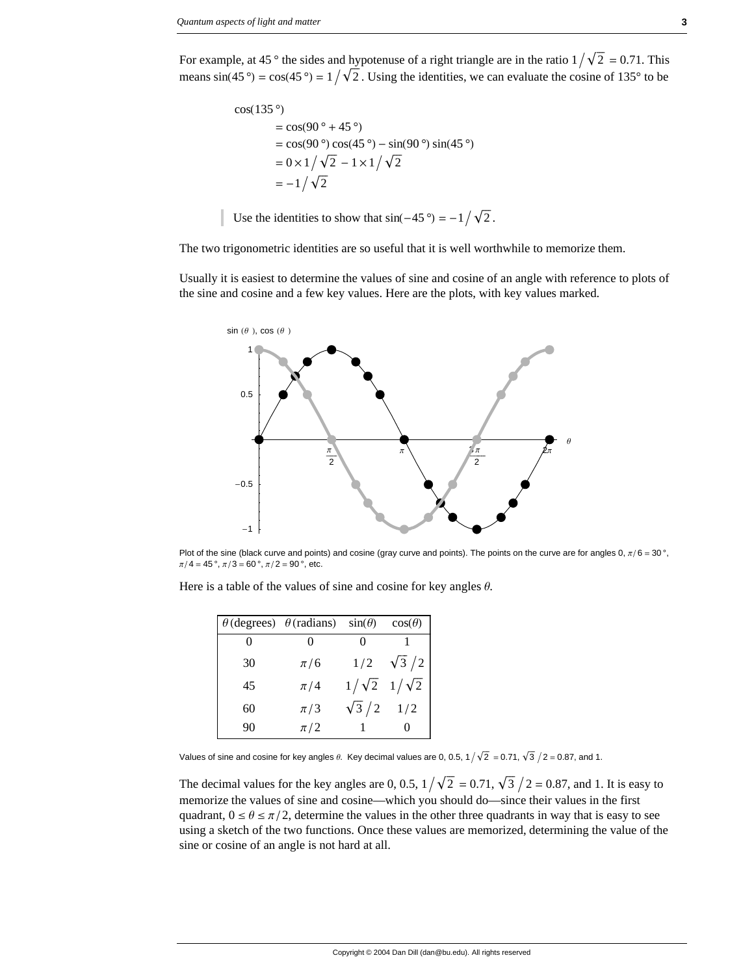For example, at 45 ° the sides and hypotenuse of a right triangle are in the ratio  $1/\sqrt{2} = 0.71$ . This means  $sin(45^\circ) = cos(45^\circ) = 1/\sqrt{2}$ . Using the identities, we can evaluate the cosine of 135° to be

$$
\cos(135^\circ) \n= \cos(90^\circ + 45^\circ) \n= \cos(90^\circ) \cos(45^\circ) - \sin(90^\circ) \sin(45^\circ) \n= 0 \times 1/\sqrt{2} - 1 \times 1/\sqrt{2} \n= -1/\sqrt{2}
$$

Use the identities to show that  $sin(-45^\circ) = -1 / \sqrt{2}$ .

The two trigonometric identities are so useful that it is well worthwhile to memorize them.

Usually it is easiest to determine the values of sine and cosine of an angle with reference to plots of the sine and cosine and a few key values. Here are the plots, with key values marked.



Plot of the sine (black curve and points) and cosine (gray curve and points). The points on the curve are for angles 0,  $\pi/6 = 30^\circ$ ,  $\pi/4 = 45$ °,  $\pi/3 = 60$ °,  $\pi/2 = 90$ °, etc.

|  |  |  |  | Here is a table of the values of sine and cosine for key angles $\theta$ . |
|--|--|--|--|----------------------------------------------------------------------------|
|  |  |  |  |                                                                            |

|    | $\theta$ (degrees) $\theta$ (radians) | $sin(\theta)$ | $cos(\theta)$             |
|----|---------------------------------------|---------------|---------------------------|
|    |                                       |               |                           |
| 30 | $\pi/6$                               | 1/2           | $\sqrt{3}/2$              |
| 45 | $\pi/4$                               |               | $1/\sqrt{2}$ $1/\sqrt{2}$ |
| 60 | $\pi/3$                               | $\sqrt{3}/2$  | 1/2                       |
| 90 | $\pi/2$                               |               |                           |

Values of sine and cosine for key angles  $\theta$ . Key decimal values are 0, 0.5, 1  $\sqrt{2}$  = 0.71,  $\sqrt{3}$   $/$  2 = 0.87, and 1.

The decimal values for the key angles are 0, 0.5,  $1/\sqrt{2} = 0.71$ ,  $\sqrt{3}/2 = 0.87$ , and 1. It is easy to memorize the values of sine and cosine—which you should do—since their values in the first quadrant,  $0 \le \theta \le \pi/2$ , determine the values in the other three quadrants in way that is easy to see using a sketch of the two functions. Once these values are memorized, determining the value of the sine or cosine of an angle is not hard at all.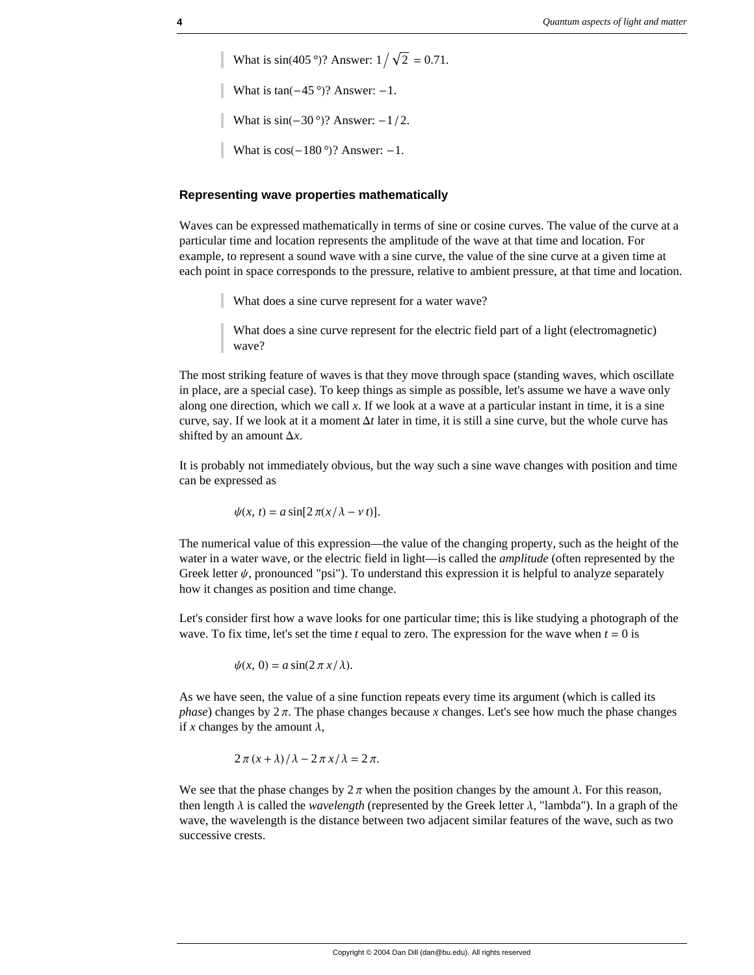What is  $sin(405^{\circ})$ ? Answer:  $1 / \sqrt{2} = 0.71$ . What is  $tan(-45°)$ ? Answer:  $-1$ . What is  $sin(-30°)$ ? Answer:  $-1/2$ . What is  $cos(-180°)$ ? Answer:  $-1$ .

#### **Representing wave properties mathematically**

Waves can be expressed mathematically in terms of sine or cosine curves. The value of the curve at a particular time and location represents the amplitude of the wave at that time and location. For example, to represent a sound wave with a sine curve, the value of the sine curve at a given time at each point in space corresponds to the pressure, relative to ambient pressure, at that time and location.

What does a sine curve represent for a water wave?

What does a sine curve represent for the electric field part of a light (electromagnetic) wave?

The most striking feature of waves is that they move through space (standing waves, which oscillate in place, are a special case). To keep things as simple as possible, let's assume we have a wave only along one direction, which we call *x*. If we look at a wave at a particular instant in time, it is a sine curve, say. If we look at it a moment  $\Delta t$  later in time, it is still a sine curve, but the whole curve has shifted by an amount  $\Delta x$ .

It is probably not immediately obvious, but the way such a sine wave changes with position and time can be expressed as

 $\psi(x, t) = a \sin[2\pi(x/\lambda - vt)].$ 

The numerical value of this expression—the value of the changing property, such as the height of the water in a water wave, or the electric field in light—is called the *amplitude* (often represented by the Greek letter  $\psi$ , pronounced "psi"). To understand this expression it is helpful to analyze separately how it changes as position and time change.

Let's consider first how a wave looks for one particular time; this is like studying a photograph of the wave. To fix time, let's set the time *t* equal to zero. The expression for the wave when *t* = 0 is

$$
\psi(x, 0) = a \sin(2\pi x/\lambda).
$$

As we have seen, the value of a sine function repeats every time its argument (which is called its *phase*) changes by  $2\pi$ . The phase changes because *x* changes. Let's see how much the phase changes if *x* changes by the amount  $\lambda$ ,

$$
2\pi (x + \lambda)/\lambda - 2\pi x/\lambda = 2\pi.
$$

We see that the phase changes by  $2\pi$  when the position changes by the amount  $\lambda$ . For this reason, then length  $\lambda$  is called the *wavelength* (represented by the Greek letter  $\lambda$ , "lambda"). In a graph of the wave, the wavelength is the distance between two adjacent similar features of the wave, such as two successive crests.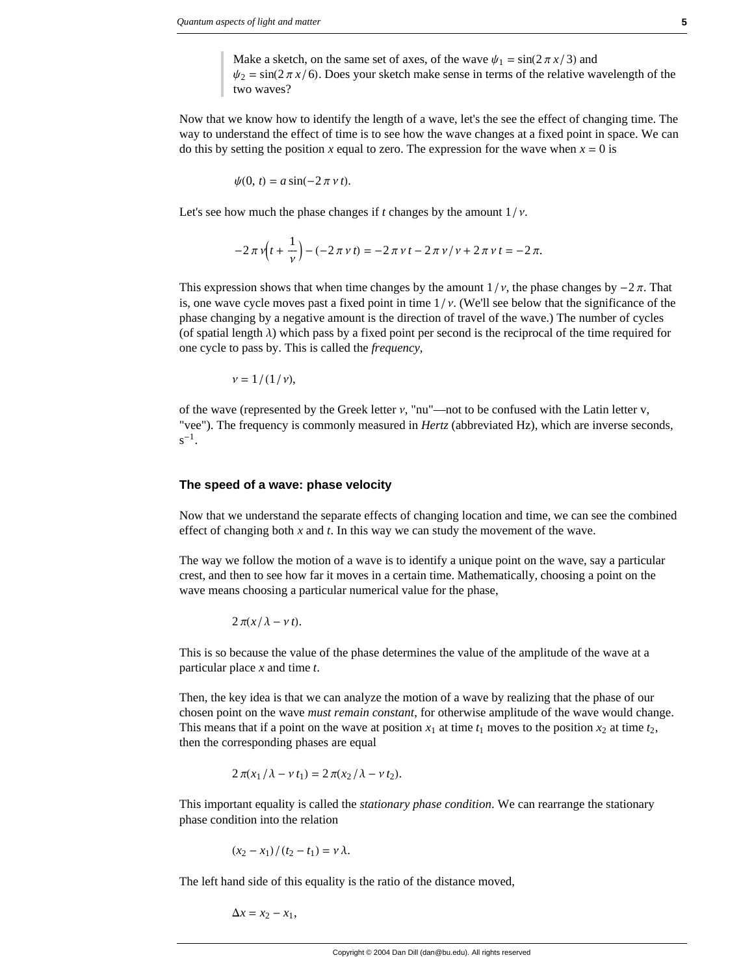Make a sketch, on the same set of axes, of the wave  $\psi_1 = \sin(2 \pi x / 3)$  and  $\psi_2 = \sin(2\pi x/6)$ . Does your sketch make sense in terms of the relative wavelength of the two waves?

Now that we know how to identify the length of a wave, let's the see the effect of changing time. The way to understand the effect of time is to see how the wave changes at a fixed point in space. We can do this by setting the position *x* equal to zero. The expression for the wave when  $x = 0$  is

$$
\psi(0, t) = a \sin(-2\pi \nu t).
$$

Let's see how much the phase changes if *t* changes by the amount  $1/v$ .

$$
-2\pi v(t+\frac{1}{v}) - (-2\pi v t) = -2\pi v t - 2\pi v/v + 2\pi v t = -2\pi.
$$

This expression shows that when time changes by the amount  $1/v$ , the phase changes by  $-2\pi$ . That is, one wave cycle moves past a fixed point in time  $1/\nu$ . (We'll see below that the significance of the phase changing by a negative amount is the direction of travel of the wave.) The number of cycles (of spatial length  $\lambda$ ) which pass by a fixed point per second is the reciprocal of the time required for one cycle to pass by. This is called the *frequency,*

$$
v=1/(1/v),
$$

of the wave (represented by the Greek letter  $v$ , "nu"—not to be confused with the Latin letter  $v$ , "vee"). The frequency is commonly measured in *Hertz* (abbreviated Hz), which are inverse seconds,  $s^{-1}$ .

#### **The speed of a wave: phase velocity**

Now that we understand the separate effects of changing location and time, we can see the combined effect of changing both *x* and *t*. In this way we can study the movement of the wave.

The way we follow the motion of a wave is to identify a unique point on the wave, say a particular crest, and then to see how far it moves in a certain time. Mathematically, choosing a point on the wave means choosing a particular numerical value for the phase,

$$
2\pi(x/\lambda-\nu t).
$$

This is so because the value of the phase determines the value of the amplitude of the wave at a particular place *x* and time *t*.

Then, the key idea is that we can analyze the motion of a wave by realizing that the phase of our chosen point on the wave *must remain constant*, for otherwise amplitude of the wave would change. This means that if a point on the wave at position  $x_1$  at time  $t_1$  moves to the position  $x_2$  at time  $t_2$ , then the corresponding phases are equal

$$
2\pi(x_1/\lambda - \nu t_1) = 2\pi(x_2/\lambda - \nu t_2).
$$

This important equality is called the *stationary phase condition*. We can rearrange the stationary phase condition into the relation

$$
(x_2 - x_1)/(t_2 - t_1) = \nu \lambda.
$$

The left hand side of this equality is the ratio of the distance moved,

 $\Delta x = x_2 - x_1$ ,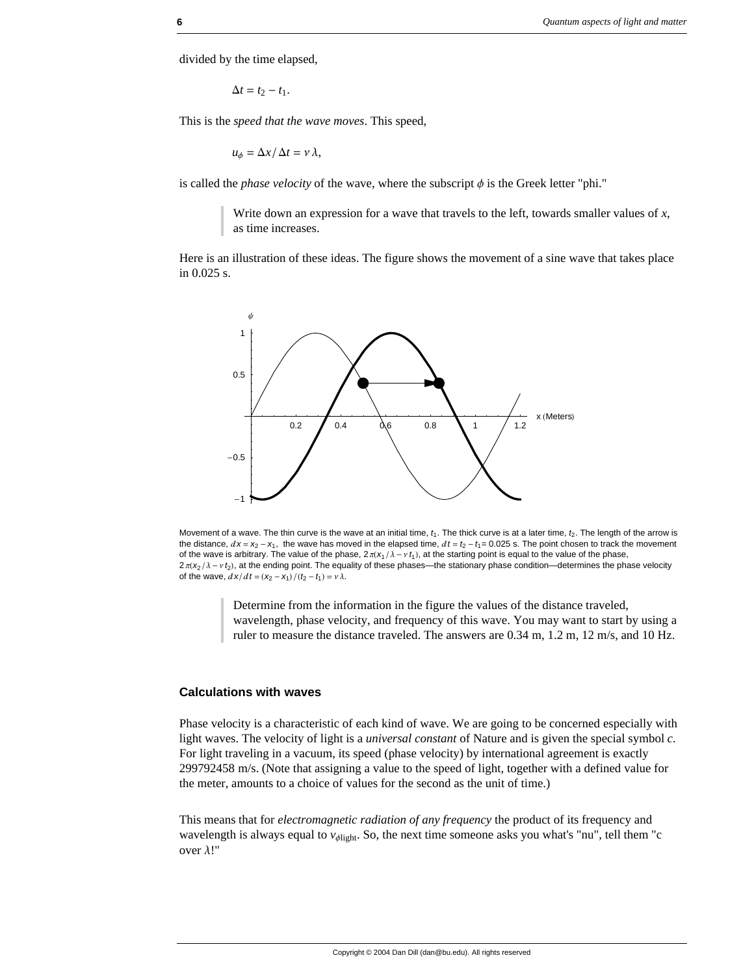divided by the time elapsed,

$$
\Delta t = t_2 - t_1.
$$

This is the *speed that the wave moves*. This speed,

 $u_{\phi} = \Delta x / \Delta t = v \lambda$ ,

is called the *phase velocity* of the wave, where the subscript  $\phi$  is the Greek letter "phi."

Write down an expression for a wave that travels to the left, towards smaller values of *x*, as time increases.

Here is an illustration of these ideas. The figure shows the movement of a sine wave that takes place in 0.025 s.



Movement of a wave. The thin curve is the wave at an initial time,  $t_1$ . The thick curve is at a later time,  $t_2$ . The length of the arrow is the distance,  $dx = x_2 - x_1$ , the wave has moved in the elapsed time,  $dt = t_2 - t_1 = 0.025$  s. The point chosen to track the movement of the wave is arbitrary. The value of the phase,  $2\pi(x_1/\lambda - v_1)$ , at the starting point is equal to the value of the phase,  $2\pi$ ( $x_2$ / $\lambda$  -  $\nu$   $t_2$ ), at the ending point. The equality of these phases—the stationary phase condition—determines the phase velocity of the wave,  $\frac{d x}{dt} = \frac{(x_2 - x_1)}{(t_2 - t_1)} = v \lambda$ .

Determine from the information in the figure the values of the distance traveled, wavelength, phase velocity, and frequency of this wave. You may want to start by using a ruler to measure the distance traveled. The answers are 0.34 m, 1.2 m, 12 m/s, and 10 Hz.

### **Calculations with waves**

Phase velocity is a characteristic of each kind of wave. We are going to be concerned especially with light waves. The velocity of light is a *universal constant* of Nature and is given the special symbol *c*. For light traveling in a vacuum, its speed (phase velocity) by international agreement is exactly 299792458 m/s. (Note that assigning a value to the speed of light, together with a defined value for the meter, amounts to a choice of values for the second as the unit of time.)

This means that for *electromagnetic radiation of any frequency* the product of its frequency and wavelength is always equal to  $v_{\text{dipht}}$ . So, the next time someone asks you what's "nu", tell them "c over  $\lambda$ !"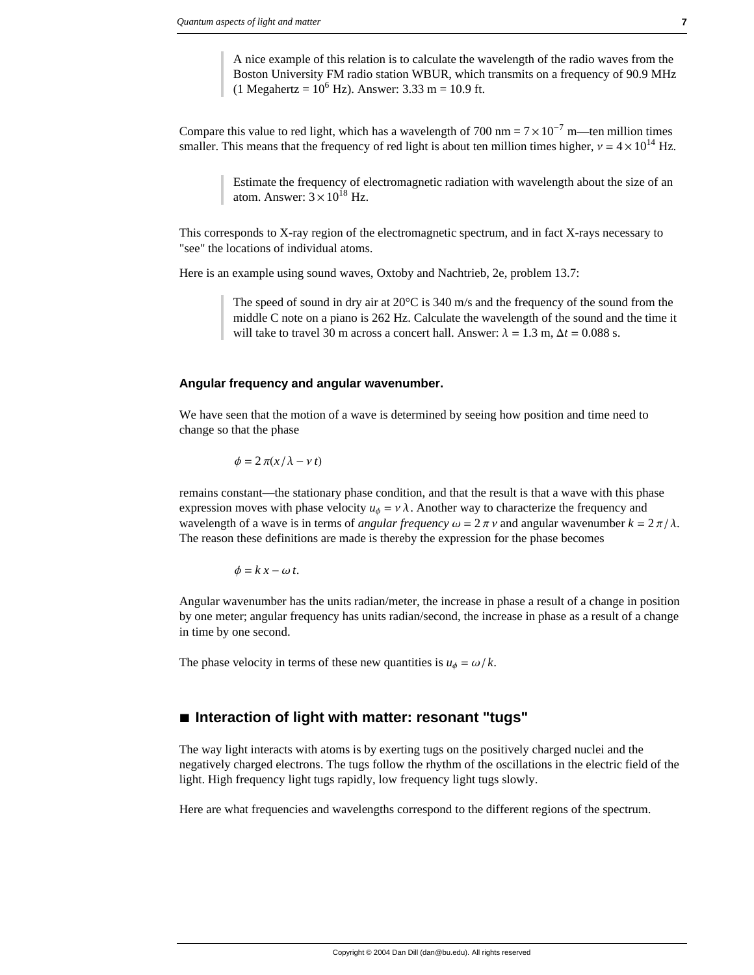A nice example of this relation is to calculate the wavelength of the radio waves from the Boston University FM radio station WBUR, which transmits on a frequency of 90.9 MHz  $(1 \text{ Megahertz} = 10^6 \text{ Hz})$ . Answer: 3.33 m = 10.9 ft.

Compare this value to red light, which has a wavelength of 700 nm =  $7 \times 10^{-7}$  m—ten million times smaller. This means that the frequency of red light is about ten million times higher,  $v = 4 \times 10^{14}$  Hz.

> Estimate the frequency of electromagnetic radiation with wavelength about the size of an atom. Answer:  $3 \times 10^{18}$  Hz.

This corresponds to X-ray region of the electromagnetic spectrum, and in fact X-rays necessary to "see" the locations of individual atoms.

Here is an example using sound waves, Oxtoby and Nachtrieb, 2e, problem 13.7:

The speed of sound in dry air at  $20^{\circ}$ C is 340 m/s and the frequency of the sound from the middle C note on a piano is 262 Hz. Calculate the wavelength of the sound and the time it will take to travel 30 m across a concert hall. Answer:  $\lambda = 1.3$  m,  $\Delta t = 0.088$  s.

#### **Angular frequency and angular wavenumber.**

We have seen that the motion of a wave is determined by seeing how position and time need to change so that the phase

$$
\phi = 2\pi(x/\lambda - v t)
$$

remains constant—the stationary phase condition, and that the result is that a wave with this phase expression moves with phase velocity  $u_{\phi} = v \lambda$ . Another way to characterize the frequency and wavelength of a wave is in terms of *angular frequency*  $\omega = 2 \pi \nu$  and angular wavenumber  $k = 2 \pi / \lambda$ . The reason these definitions are made is thereby the expression for the phase becomes

 $\phi = k x - \omega t$ .

Angular wavenumber has the units radian/meter, the increase in phase a result of a change in position by one meter; angular frequency has units radian/second, the increase in phase as a result of a change in time by one second.

The phase velocity in terms of these new quantities is  $u_{\phi} = \omega/k$ .

# **à Interaction of light with matter: resonant "tugs"**

The way light interacts with atoms is by exerting tugs on the positively charged nuclei and the negatively charged electrons. The tugs follow the rhythm of the oscillations in the electric field of the light. High frequency light tugs rapidly, low frequency light tugs slowly.

Here are what frequencies and wavelengths correspond to the different regions of the spectrum.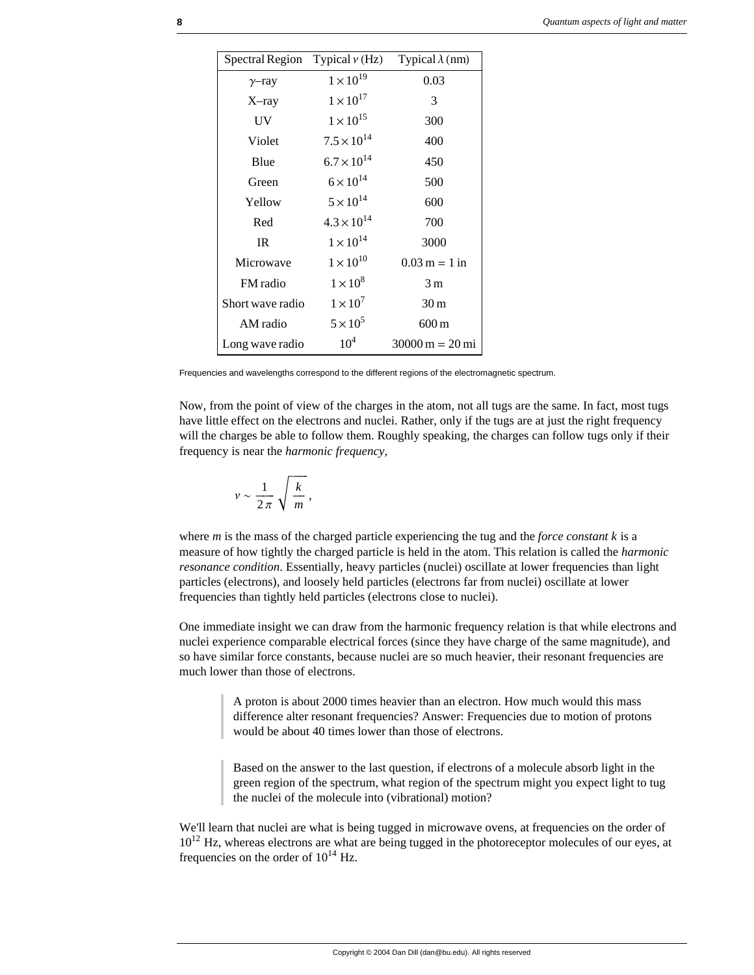| Spectral Region  | Typical $\nu$ (Hz)   | Typical $\lambda$ (nm)                  |
|------------------|----------------------|-----------------------------------------|
| $\gamma$ -ray    | $1 \times 10^{19}$   | 0.03                                    |
| $X$ -ray         | $1 \times 10^{17}$   | 3                                       |
| UV               | $1 \times 10^{15}$   | 300                                     |
| Violet           | $7.5 \times 10^{14}$ | 400                                     |
| Blue             | $6.7 \times 10^{14}$ | 450                                     |
| Green            | $6 \times 10^{14}$   | 500                                     |
| Yellow           | $5 \times 10^{14}$   | 600                                     |
| Red              | $4.3 \times 10^{14}$ | 700                                     |
| IR               | $1 \times 10^{14}$   | 3000                                    |
| Microwave        | $1 \times 10^{10}$   | $0.03 \text{ m} = 1 \text{ in}$         |
| FM radio         | $1 \times 10^8$      | 3 <sub>m</sub>                          |
| Short wave radio | $1 \times 10^7$      | 30 <sub>m</sub>                         |
| AM radio         | $5 \times 10^5$      | $600 \,\mathrm{m}$                      |
| Long wave radio  | $10^{4}$             | $30000 \,\mathrm{m} = 20 \,\mathrm{mi}$ |

Frequencies and wavelengths correspond to the different regions of the electromagnetic spectrum.

Now, from the point of view of the charges in the atom, not all tugs are the same. In fact, most tugs have little effect on the electrons and nuclei. Rather, only if the tugs are at just the right frequency will the charges be able to follow them. Roughly speaking, the charges can follow tugs only if their frequency is near the *harmonic frequency,*

$$
v \sim \frac{1}{2\pi} \sqrt{\frac{k}{m}},
$$

where *m* is the mass of the charged particle experiencing the tug and the *force constant k* is a measure of how tightly the charged particle is held in the atom. This relation is called the *harmonic resonance condition*. Essentially, heavy particles (nuclei) oscillate at lower frequencies than light particles (electrons), and loosely held particles (electrons far from nuclei) oscillate at lower frequencies than tightly held particles (electrons close to nuclei).

One immediate insight we can draw from the harmonic frequency relation is that while electrons and nuclei experience comparable electrical forces (since they have charge of the same magnitude), and so have similar force constants, because nuclei are so much heavier, their resonant frequencies are much lower than those of electrons.

> A proton is about 2000 times heavier than an electron. How much would this mass difference alter resonant frequencies? Answer: Frequencies due to motion of protons would be about 40 times lower than those of electrons.

Based on the answer to the last question, if electrons of a molecule absorb light in the green region of the spectrum, what region of the spectrum might you expect light to tug the nuclei of the molecule into (vibrational) motion?

We'll learn that nuclei are what is being tugged in microwave ovens, at frequencies on the order of  $10^{12}$  Hz, whereas electrons are what are being tugged in the photoreceptor molecules of our eyes, at frequencies on the order of  $10^{14}$  Hz.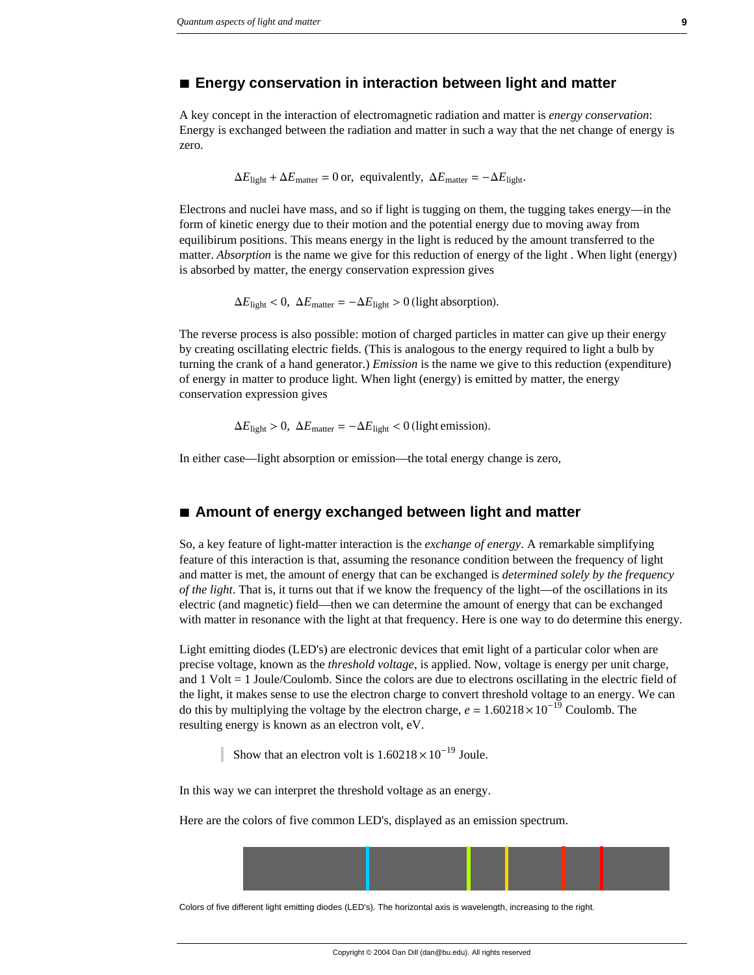### **à Energy conservation in interaction between light and matter**

A key concept in the interaction of electromagnetic radiation and matter is *energy conservation*: Energy is exchanged between the radiation and matter in such a way that the net change of energy is zero.

$$
\Delta E_{\text{light}} + \Delta E_{\text{matter}} = 0 \text{ or, equivalently, } \Delta E_{\text{matter}} = -\Delta E_{\text{light}}.
$$

Electrons and nuclei have mass, and so if light is tugging on them, the tugging takes energy—in the form of kinetic energy due to their motion and the potential energy due to moving away from equilibirum positions. This means energy in the light is reduced by the amount transferred to the matter. *Absorption* is the name we give for this reduction of energy of the light . When light (energy) is absorbed by matter, the energy conservation expression gives

 $\Delta E_{\text{light}} < 0$ ,  $\Delta E_{\text{matter}} = -\Delta E_{\text{light}} > 0$  (light absorption).

The reverse process is also possible: motion of charged particles in matter can give up their energy by creating oscillating electric fields. (This is analogous to the energy required to light a bulb by turning the crank of a hand generator.) *Emission* is the name we give to this reduction (expenditure) of energy in matter to produce light. When light (energy) is emitted by matter, the energy conservation expression gives

 $\Delta E_{\text{light}} > 0$ ,  $\Delta E_{\text{matter}} = -\Delta E_{\text{light}} < 0$  (light emission).

In either case—light absorption or emission—the total energy change is zero,

### **à Amount of energy exchanged between light and matter**

So, a key feature of light-matter interaction is the *exchange of energy*. A remarkable simplifying feature of this interaction is that, assuming the resonance condition between the frequency of light and matter is met, the amount of energy that can be exchanged is *determined solely by the frequency of the light*. That is, it turns out that if we know the frequency of the light—of the oscillations in its electric (and magnetic) field—then we can determine the amount of energy that can be exchanged with matter in resonance with the light at that frequency. Here is one way to do determine this energy.

Light emitting diodes (LED's) are electronic devices that emit light of a particular color when are precise voltage, known as the *threshold voltage*, is applied. Now, voltage is energy per unit charge, and 1 Volt = 1 Joule/Coulomb. Since the colors are due to electrons oscillating in the electric field of the light, it makes sense to use the electron charge to convert threshold voltage to an energy. We can do this by multiplying the voltage by the electron charge,  $e = 1.60218 \times 10^{-19}$  Coulomb. The resulting energy is known as an electron volt, eV.

Show that an electron volt is  $1.60218 \times 10^{-19}$  Joule.

In this way we can interpret the threshold voltage as an energy.

Here are the colors of five common LED's, displayed as an emission spectrum.

Colors of five different light emitting diodes (LED's). The horizontal axis is wavelength, increasing to the right.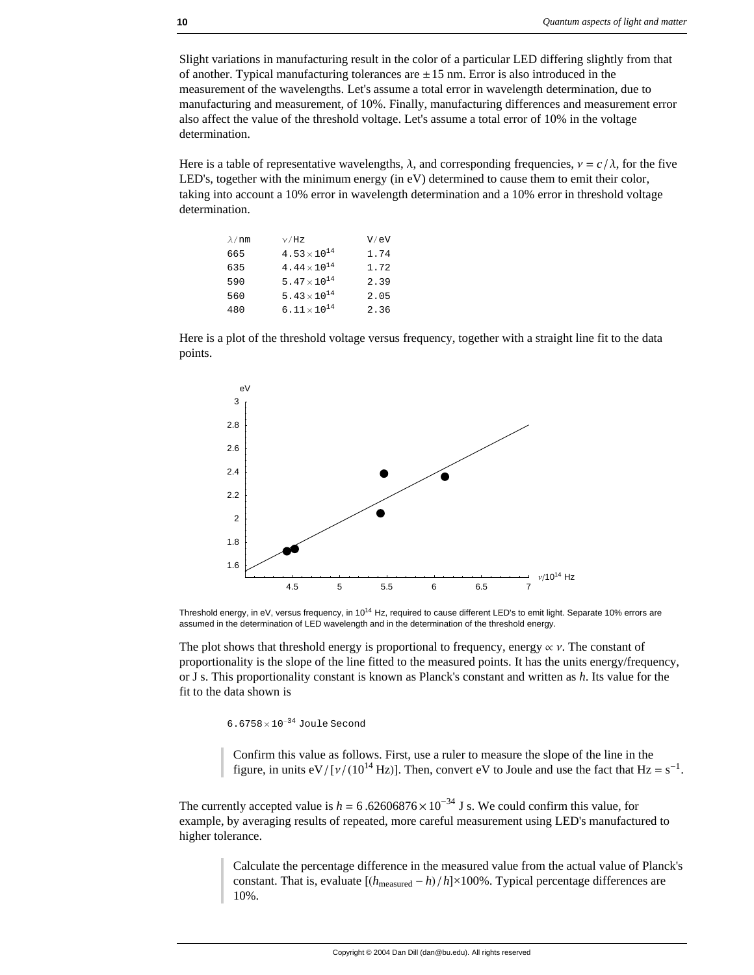Slight variations in manufacturing result in the color of a particular LED differing slightly from that of another. Typical manufacturing tolerances are  $\pm 15$  nm. Error is also introduced in the measurement of the wavelengths. Let's assume a total error in wavelength determination, due to manufacturing and measurement, of 10%. Finally, manufacturing differences and measurement error also affect the value of the threshold voltage. Let's assume a total error of 10% in the voltage determination.

Here is a table of representative wavelengths,  $\lambda$ , and corresponding frequencies,  $v = c / \lambda$ , for the five LED's, together with the minimum energy (in eV) determined to cause them to emit their color, taking into account a 10% error in wavelength determination and a 10% error in threshold voltage determination.

| $\lambda$ /nm | $\sqrt{Hz}$                    | V/eV |
|---------------|--------------------------------|------|
| 665           | $4.53 \times 10^{14}$          | 1.74 |
| 635           | 4.44 $\times$ 10 <sup>14</sup> | 1.72 |
| 590           | 5.47 $\times$ 10 <sup>14</sup> | 2.39 |
| 560           | 5.43 $\times$ 10 <sup>14</sup> | 2.05 |
| 480           | 6.11 $\times$ 10 <sup>14</sup> | 2.36 |

Here is a plot of the threshold voltage versus frequency, together with a straight line fit to the data points.



Threshold energy, in eV, versus frequency, in 1014 Hz, required to cause different LED's to emit light. Separate 10% errors are assumed in the determination of LED wavelength and in the determination of the threshold energy.

The plot shows that threshold energy is proportional to frequency, energy  $\alpha$  v. The constant of proportionality is the slope of the line fitted to the measured points. It has the units energy/frequency, or J s. This proportionality constant is known as Planck's constant and written as *h*. Its value for the fit to the data shown is

6.6758× 10−<sup>34</sup> Joule Second

Confirm this value as follows. First, use a ruler to measure the slope of the line in the figure, in units eV/[ $v/(10^{14}$  Hz)]. Then, convert eV to Joule and use the fact that Hz = s<sup>-1</sup>.

The currently accepted value is  $h = 6.62606876 \times 10^{-34}$  J s. We could confirm this value, for example, by averaging results of repeated, more careful measurement using LED's manufactured to higher tolerance.

> Calculate the percentage difference in the measured value from the actual value of Planck's constant. That is, evaluate  $[(h_{\text{measured}} - h)/h] \times 100\%$ . Typical percentage differences are 10%.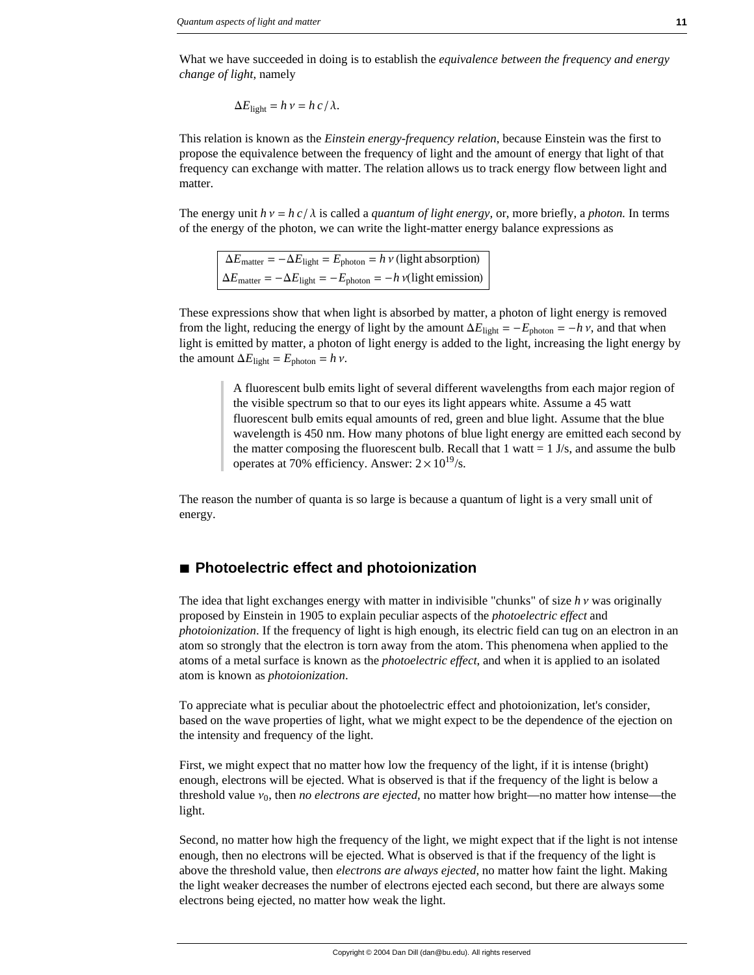What we have succeeded in doing is to establish the *equivalence between the frequency and energy change of light*, namely

$$
\Delta E_{\text{light}} = h \, \nu = h \, c / \lambda.
$$

This relation is known as the *Einstein energy-frequency relation*, because Einstein was the first to propose the equivalence between the frequency of light and the amount of energy that light of that frequency can exchange with matter. The relation allows us to track energy flow between light and matter.

The energy unit  $h v = h c / \lambda$  is called a *quantum of light energy*, or, more briefly, a *photon*. In terms of the energy of the photon, we can write the light-matter energy balance expressions as

 $\Delta E_{\text{matter}} = -\Delta E_{\text{light}} = E_{\text{photon}} = h v$  (light absorption)  $\Delta E_{\text{matter}} = -\Delta E_{\text{light}} = -E_{\text{photon}} = -h \nu(\text{light emission})$ 

These expressions show that when light is absorbed by matter, a photon of light energy is removed from the light, reducing the energy of light by the amount  $\Delta E_{\text{light}} = -E_{\text{photon}} = -h v$ , and that when light is emitted by matter, a photon of light energy is added to the light, increasing the light energy by the amount  $\Delta E_{\text{light}} = E_{\text{photon}} = h v$ .

> A fluorescent bulb emits light of several different wavelengths from each major region of the visible spectrum so that to our eyes its light appears white. Assume a 45 watt fluorescent bulb emits equal amounts of red, green and blue light. Assume that the blue wavelength is 450 nm. How many photons of blue light energy are emitted each second by the matter composing the fluorescent bulb. Recall that  $1 \text{ wat} = 1 \text{ J/s}$ , and assume the bulb operates at 70% efficiency. Answer:  $2 \times 10^{19}$ /s.

The reason the number of quanta is so large is because a quantum of light is a very small unit of energy.

# ■ Photoelectric effect and photoionization

The idea that light exchanges energy with matter in indivisible "chunks" of size  $h v$  was originally proposed by Einstein in 1905 to explain peculiar aspects of the *photoelectric effect* and *photoionization*. If the frequency of light is high enough, its electric field can tug on an electron in an atom so strongly that the electron is torn away from the atom. This phenomena when applied to the atoms of a metal surface is known as the *photoelectric effect*, and when it is applied to an isolated atom is known as *photoionization*.

To appreciate what is peculiar about the photoelectric effect and photoionization, let's consider, based on the wave properties of light, what we might expect to be the dependence of the ejection on the intensity and frequency of the light.

First, we might expect that no matter how low the frequency of the light, if it is intense (bright) enough, electrons will be ejected. What is observed is that if the frequency of the light is below a threshold value  $v_0$ , then *no electrons are ejected*, no matter how bright—no matter how intense—the light.

Second, no matter how high the frequency of the light, we might expect that if the light is not intense enough, then no electrons will be ejected. What is observed is that if the frequency of the light is above the threshold value, then *electrons are always ejected*, no matter how faint the light. Making the light weaker decreases the number of electrons ejected each second, but there are always some electrons being ejected, no matter how weak the light.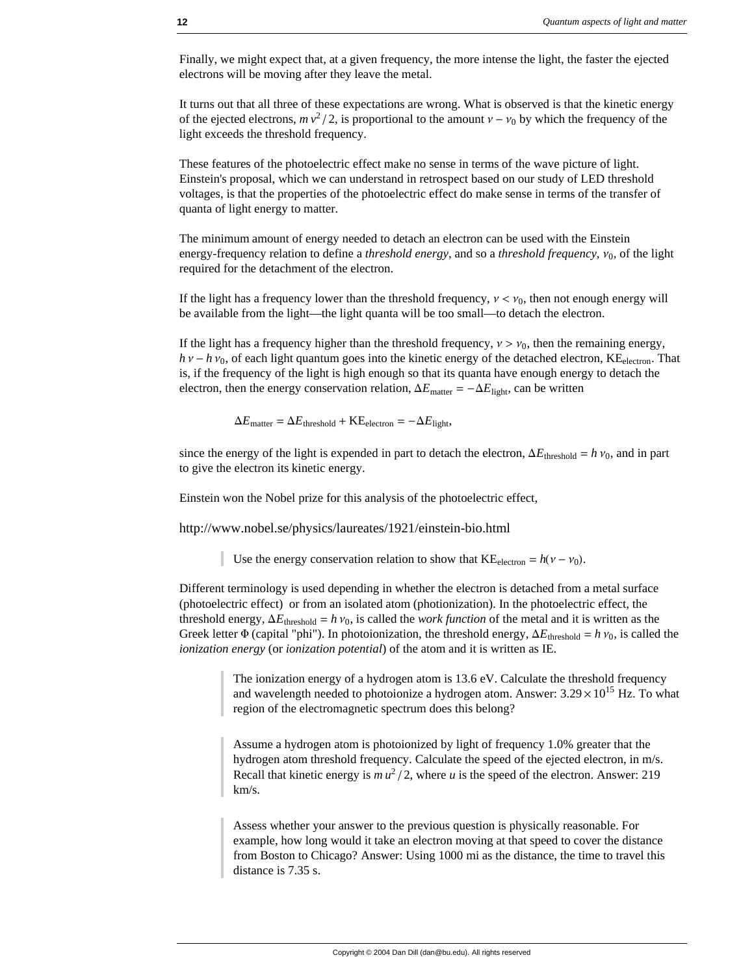Finally, we might expect that, at a given frequency, the more intense the light, the faster the ejected electrons will be moving after they leave the metal.

It turns out that all three of these expectations are wrong. What is observed is that the kinetic energy of the ejected electrons,  $mv^2/2$ , is proportional to the amount  $v - v_0$  by which the frequency of the light exceeds the threshold frequency.

These features of the photoelectric effect make no sense in terms of the wave picture of light. Einstein's proposal, which we can understand in retrospect based on our study of LED threshold voltages, is that the properties of the photoelectric effect do make sense in terms of the transfer of quanta of light energy to matter.

The minimum amount of energy needed to detach an electron can be used with the Einstein energy-frequency relation to define a *threshold energy*, and so a *threshold frequency*,  $v_0$ , of the light required for the detachment of the electron.

If the light has a frequency lower than the threshold frequency,  $v < v_0$ , then not enough energy will be available from the light—the light quanta will be too small—to detach the electron.

If the light has a frequency higher than the threshold frequency,  $v > v_0$ , then the remaining energy,  $h v - h v_0$ , of each light quantum goes into the kinetic energy of the detached electron, KE<sub>electron</sub>. That is, if the frequency of the light is high enough so that its quanta have enough energy to detach the electron, then the energy conservation relation,  $\Delta E_{\text{matter}} = -\Delta E_{\text{light}}$ , can be written

$$
\Delta E_{\text{matter}} = \Delta E_{\text{threshold}} + \text{KE}_{\text{electron}} = -\Delta E_{\text{light}},
$$

since the energy of the light is expended in part to detach the electron,  $\Delta E_{\text{threshold}} = h v_0$ , and in part to give the electron its kinetic energy.

Einstein won the Nobel prize for this analysis of the photoelectric effect,

http://www.nobel.se/physics/laureates/1921/einstein-bio.html

Use the energy conservation relation to show that  $KE_{electron} = h(\nu - \nu_0)$ .

Different terminology is used depending in whether the electron is detached from a metal surface (photoelectric effect) or from an isolated atom (photionization). In the photoelectric effect, the threshold energy,  $\Delta E_{\text{threshold}} = h v_0$ , is called the *work function* of the metal and it is written as the Greek letter  $\Phi$  (capital "phi"). In photoionization, the threshold energy,  $\Delta E_{\text{threshold}} = h v_0$ , is called the *ionization energy* (or *ionization potential*) of the atom and it is written as IE.

> The ionization energy of a hydrogen atom is 13.6 eV. Calculate the threshold frequency and wavelength needed to photoionize a hydrogen atom. Answer:  $3.29 \times 10^{15}$  Hz. To what region of the electromagnetic spectrum does this belong?

Assume a hydrogen atom is photoionized by light of frequency 1.0% greater that the hydrogen atom threshold frequency. Calculate the speed of the ejected electron, in m/s. Recall that kinetic energy is  $mu^2/2$ , where *u* is the speed of the electron. Answer: 219 km/s.

Assess whether your answer to the previous question is physically reasonable. For example, how long would it take an electron moving at that speed to cover the distance from Boston to Chicago? Answer: Using 1000 mi as the distance, the time to travel this distance is 7.35 s.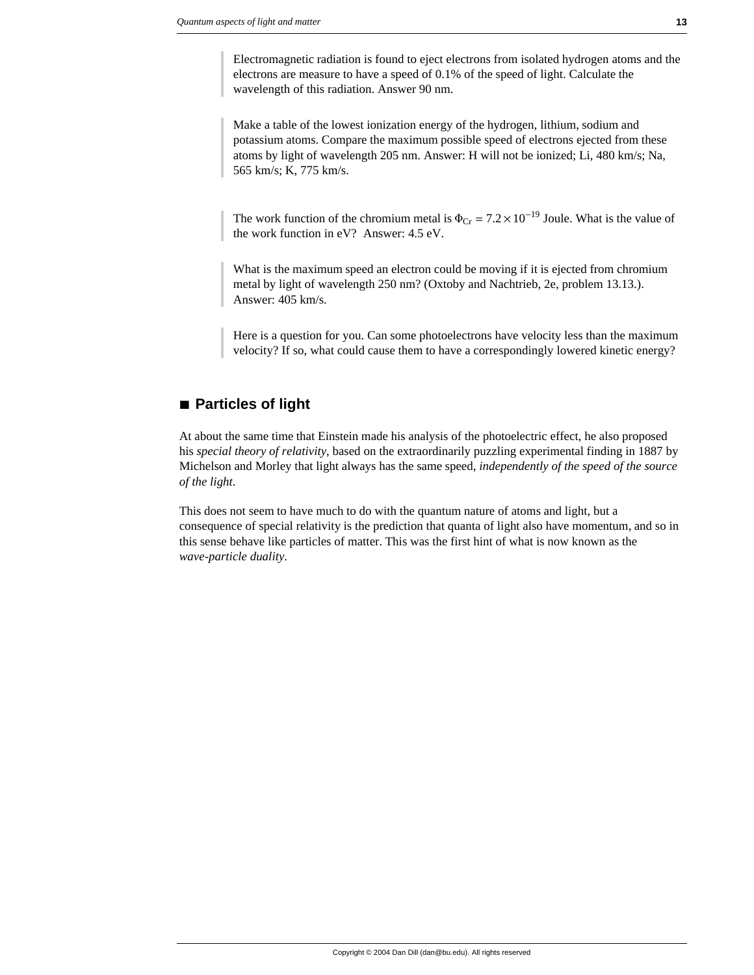Electromagnetic radiation is found to eject electrons from isolated hydrogen atoms and the electrons are measure to have a speed of 0.1% of the speed of light. Calculate the wavelength of this radiation. Answer 90 nm.

Make a table of the lowest ionization energy of the hydrogen, lithium, sodium and potassium atoms. Compare the maximum possible speed of electrons ejected from these atoms by light of wavelength 205 nm. Answer: H will not be ionized; Li, 480 km/s; Na, 565 km/s; K, 775 km/s.

The work function of the chromium metal is  $\Phi_{Cr} = 7.2 \times 10^{-19}$  Joule. What is the value of the work function in eV? Answer: 4.5 eV.

What is the maximum speed an electron could be moving if it is ejected from chromium metal by light of wavelength 250 nm? (Oxtoby and Nachtrieb, 2e, problem 13.13.). Answer: 405 km/s.

Here is a question for you. Can some photoelectrons have velocity less than the maximum velocity? If so, what could cause them to have a correspondingly lowered kinetic energy?

# **à Particles of light**

At about the same time that Einstein made his analysis of the photoelectric effect, he also proposed his *special theory of relativity*, based on the extraordinarily puzzling experimental finding in 1887 by Michelson and Morley that light always has the same speed, *independently of the speed of the source of the light*.

This does not seem to have much to do with the quantum nature of atoms and light, but a consequence of special relativity is the prediction that quanta of light also have momentum, and so in this sense behave like particles of matter. This was the first hint of what is now known as the *wave-particle duality*.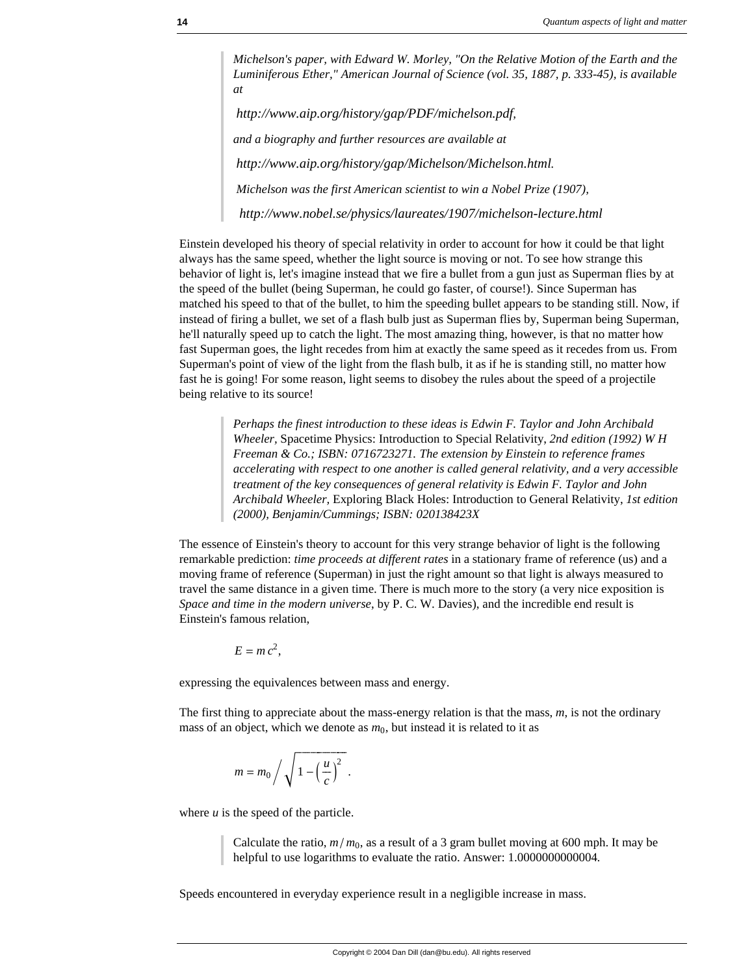*Michelson's paper, with Edward W. Morley, "On the Relative Motion of the Earth and the Luminiferous Ether," American Journal of Science (vol. 35, 1887, p. 333-45), is available at*

*http://www.aip.org/history/gap/PDF/michelson.pdf, and a biography and further resources are available at http://www.aip.org/history/gap/Michelson/Michelson.html. Michelson was the first American scientist to win a Nobel Prize (1907), http://www.nobel.se/physics/laureates/1907/michelson-lecture.html*

Einstein developed his theory of special relativity in order to account for how it could be that light always has the same speed, whether the light source is moving or not. To see how strange this behavior of light is, let's imagine instead that we fire a bullet from a gun just as Superman flies by at the speed of the bullet (being Superman, he could go faster, of course!). Since Superman has matched his speed to that of the bullet, to him the speeding bullet appears to be standing still. Now, if instead of firing a bullet, we set of a flash bulb just as Superman flies by, Superman being Superman, he'll naturally speed up to catch the light. The most amazing thing, however, is that no matter how fast Superman goes, the light recedes from him at exactly the same speed as it recedes from us. From Superman's point of view of the light from the flash bulb, it as if he is standing still, no matter how fast he is going! For some reason, light seems to disobey the rules about the speed of a projectile being relative to its source!

> *Perhaps the finest introduction to these ideas is Edwin F. Taylor and John Archibald Wheeler,* Spacetime Physics: Introduction to Special Relativity, *2nd edition (1992) W H Freeman & Co.; ISBN: 0716723271. The extension by Einstein to reference frames accelerating with respect to one another is called general relativity, and a very accessible treatment of the key consequences of general relativity is Edwin F. Taylor and John Archibald Wheeler,* Exploring Black Holes: Introduction to General Relativity, *1st edition (2000), Benjamin/Cummings; ISBN: 020138423X*

The essence of Einstein's theory to account for this very strange behavior of light is the following remarkable prediction: *time proceeds at different rates* in a stationary frame of reference (us) and a moving frame of reference (Superman) in just the right amount so that light is always measured to travel the same distance in a given time. There is much more to the story (a very nice exposition is *Space and time in the modern universe*, by P. C. W. Davies), and the incredible end result is Einstein's famous relation,

$$
E = mc^2,
$$

expressing the equivalences between mass and energy.

The first thing to appreciate about the mass-energy relation is that the mass, *m*, is not the ordinary mass of an object, which we denote as  $m_0$ , but instead it is related to it as

$$
m = m_0 / \sqrt{1 - \left(\frac{u}{c}\right)^2}.
$$

where  $u$  is the speed of the particle.

Calculate the ratio,  $m/m_0$ , as a result of a 3 gram bullet moving at 600 mph. It may be helpful to use logarithms to evaluate the ratio. Answer: 1.0000000000004.

Speeds encountered in everyday experience result in a negligible increase in mass.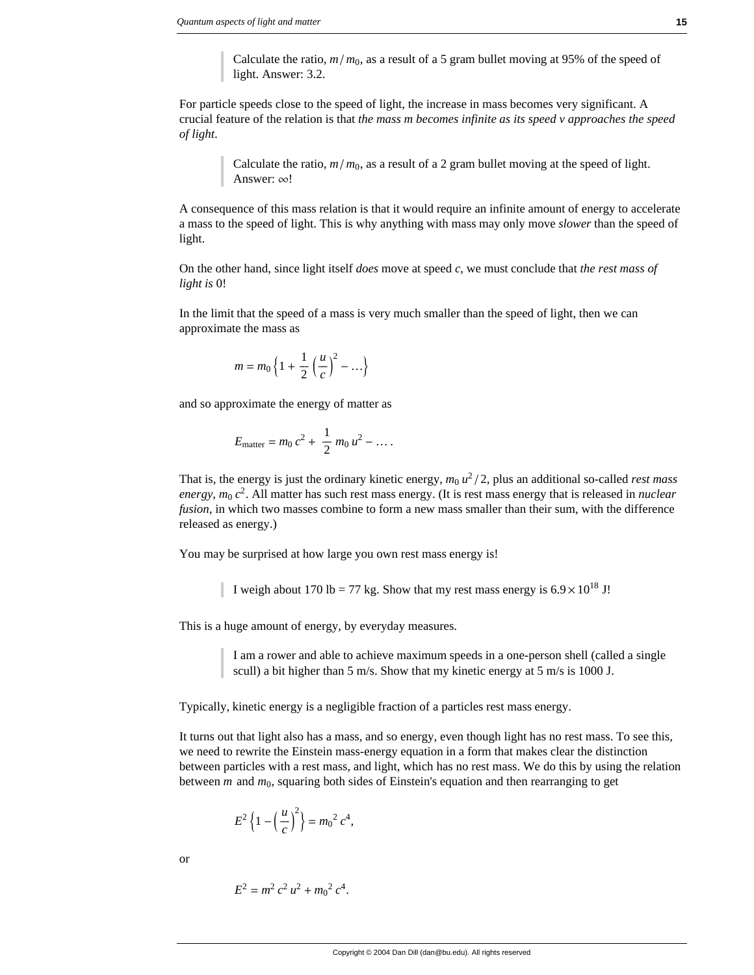Calculate the ratio,  $m/m_0$ , as a result of a 5 gram bullet moving at 95% of the speed of light. Answer: 3.2.

For particle speeds close to the speed of light, the increase in mass becomes very significant. A crucial feature of the relation is that *the mass m becomes infinite as its speed v approaches the speed of light*.

> Calculate the ratio,  $m/m_0$ , as a result of a 2 gram bullet moving at the speed of light. Answer:  $\infty!$

A consequence of this mass relation is that it would require an infinite amount of energy to accelerate a mass to the speed of light. This is why anything with mass may only move *slower* than the speed of light.

On the other hand, since light itself *does* move at speed *c*, we must conclude that *the rest mass of light is* 0!

In the limit that the speed of a mass is very much smaller than the speed of light, then we can approximate the mass as

$$
m = m_0 \left\{ 1 + \frac{1}{2} \left( \frac{u}{c} \right)^2 - \ldots \right\}
$$

and so approximate the energy of matter as

$$
E_{\text{matter}} = m_0 c^2 + \frac{1}{2} m_0 u^2 - \dots
$$

That is, the energy is just the ordinary kinetic energy,  $m_0 u^2/2$ , plus an additional so-called *rest mass energy, m*<sup>0</sup> *c*2. All matter has such rest mass energy. (It is rest mass energy that is released in *nuclear fusion*, in which two masses combine to form a new mass smaller than their sum, with the difference released as energy.)

You may be surprised at how large you own rest mass energy is!

I weigh about 170 lb = 77 kg. Show that my rest mass energy is  $6.9 \times 10^{18}$  J!

This is a huge amount of energy, by everyday measures.

I am a rower and able to achieve maximum speeds in a one-person shell (called a single scull) a bit higher than 5 m/s. Show that my kinetic energy at 5 m/s is 1000 J.

Typically, kinetic energy is a negligible fraction of a particles rest mass energy.

It turns out that light also has a mass, and so energy, even though light has no rest mass. To see this, we need to rewrite the Einstein mass-energy equation in a form that makes clear the distinction between particles with a rest mass, and light, which has no rest mass. We do this by using the relation between *m* and *m*0, squaring both sides of Einstein's equation and then rearranging to get

$$
E^{2}\left\{1-\left(\frac{u}{c}\right)^{2}\right\}=m_{0}^{2}c^{4},
$$

or

$$
E^2 = m^2 c^2 u^2 + m_0^2 c^4.
$$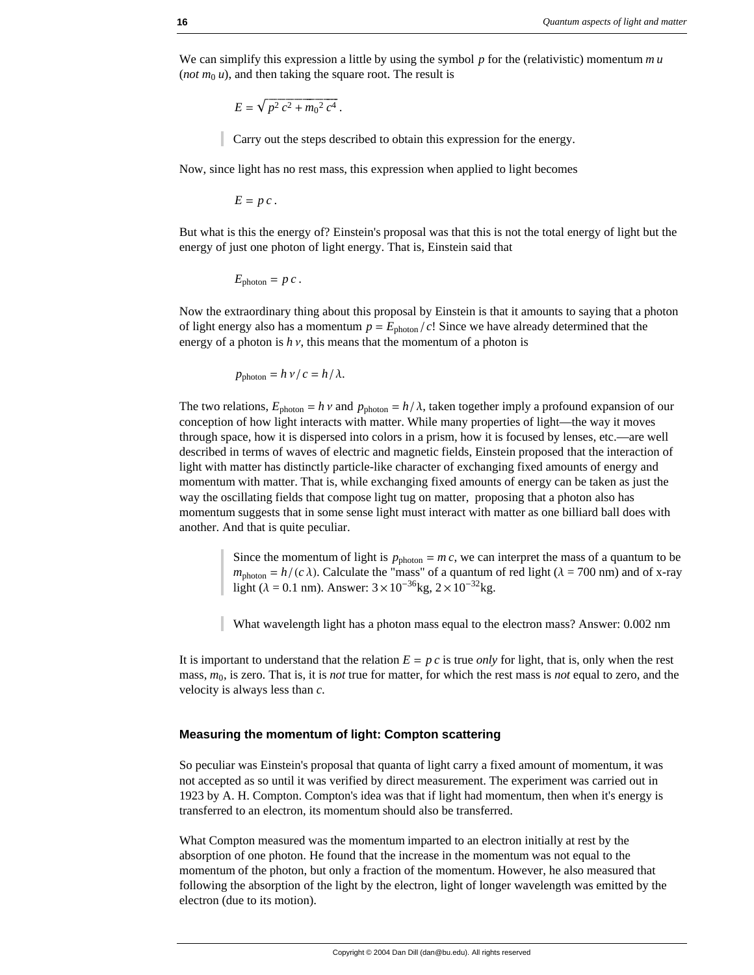We can simplify this expression a little by using the symbol *p* for the (relativistic) momentum *m u* (*not*  $m_0 u$ ), and then taking the square root. The result is

$$
E = \sqrt{p^2 c^2 + m_0^2 c^4}.
$$

Carry out the steps described to obtain this expression for the energy.

Now, since light has no rest mass, this expression when applied to light becomes

$$
E = p c.
$$

But what is this the energy of? Einstein's proposal was that this is not the total energy of light but the energy of just one photon of light energy. That is, Einstein said that

$$
E_{\text{photon}} = p c.
$$

Now the extraordinary thing about this proposal by Einstein is that it amounts to saying that a photon of light energy also has a momentum  $p = E_{\text{photon}}/c!$  Since we have already determined that the energy of a photon is  $h v$ , this means that the momentum of a photon is

$$
p_{\text{photon}} = h \, \nu / c = h / \lambda.
$$

The two relations,  $E_{photon} = h v$  and  $p_{photon} = h/\lambda$ , taken together imply a profound expansion of our conception of how light interacts with matter. While many properties of light—the way it moves through space, how it is dispersed into colors in a prism, how it is focused by lenses, etc.—are well described in terms of waves of electric and magnetic fields, Einstein proposed that the interaction of light with matter has distinctly particle-like character of exchanging fixed amounts of energy and momentum with matter. That is, while exchanging fixed amounts of energy can be taken as just the way the oscillating fields that compose light tug on matter, proposing that a photon also has momentum suggests that in some sense light must interact with matter as one billiard ball does with another. And that is quite peculiar.

> Since the momentum of light is  $p_{\text{photon}} = mc$ , we can interpret the mass of a quantum to be  $m_{photon} = h/(c \lambda)$ . Calculate the "mass" of a quantum of red light ( $\lambda = 700$  nm) and of x-ray light ( $\lambda = 0.1$  nm). Answer:  $3 \times 10^{-36}$ kg,  $2 \times 10^{-32}$ kg.

What wavelength light has a photon mass equal to the electron mass? Answer: 0.002 nm

It is important to understand that the relation  $E = p c$  is true *only* for light, that is, only when the rest mass, *m*0, is zero. That is, it is *not* true for matter, for which the rest mass is *not* equal to zero, and the velocity is always less than *c*.

### **Measuring the momentum of light: Compton scattering**

So peculiar was Einstein's proposal that quanta of light carry a fixed amount of momentum, it was not accepted as so until it was verified by direct measurement. The experiment was carried out in 1923 by A. H. Compton. Compton's idea was that if light had momentum, then when it's energy is transferred to an electron, its momentum should also be transferred.

What Compton measured was the momentum imparted to an electron initially at rest by the absorption of one photon. He found that the increase in the momentum was not equal to the momentum of the photon, but only a fraction of the momentum. However, he also measured that following the absorption of the light by the electron, light of longer wavelength was emitted by the electron (due to its motion).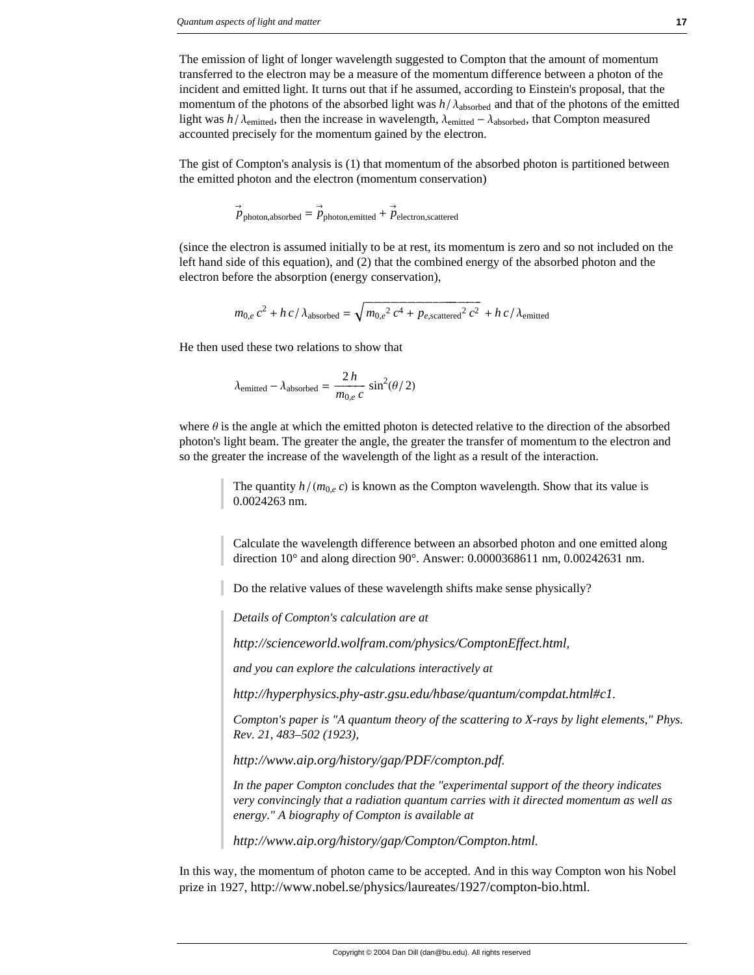The emission of light of longer wavelength suggested to Compton that the amount of momentum transferred to the electron may be a measure of the momentum difference between a photon of the incident and emitted light. It turns out that if he assumed, according to Einstein's proposal, that the momentum of the photons of the absorbed light was  $h / \lambda_{\text{absorbed}}$  and that of the photons of the emitted light was  $h/\lambda_{\text{emitted}}$ , then the increase in wavelength,  $\lambda_{\text{emitted}} - \lambda_{\text{absorbed}}$ , that Compton measured accounted precisely for the momentum gained by the electron.

The gist of Compton's analysis is (1) that momentum of the absorbed photon is partitioned between the emitted photon and the electron (momentum conservation)

$$
\vec{p}_{\text{photon,absorbed}} = \vec{p}_{\text{photon,emitted}} + \vec{p}_{\text{electron,scattered}}
$$

(since the electron is assumed initially to be at rest, its momentum is zero and so not included on the left hand side of this equation), and (2) that the combined energy of the absorbed photon and the electron before the absorption (energy conservation),

$$
m_{0,e} c^2 + h c / \lambda_{\text{absorbed}} = \sqrt{m_{0,e}^2 c^4 + p_{e,\text{scattered}}^2 c^2} + h c / \lambda_{\text{emitted}}
$$

He then used these two relations to show that

$$
\lambda_{\text{emitted}} - \lambda_{\text{absorbed}} = \frac{2 h}{m_{0,e} c} \sin^2(\theta/2)
$$

where  $\theta$  is the angle at which the emitted photon is detected relative to the direction of the absorbed photon's light beam. The greater the angle, the greater the transfer of momentum to the electron and so the greater the increase of the wavelength of the light as a result of the interaction.

> The quantity  $h/(m_{0,e} c)$  is known as the Compton wavelength. Show that its value is 0.0024263 nm.

Calculate the wavelength difference between an absorbed photon and one emitted along direction 10° and along direction 90°. Answer: 0.0000368611 nm, 0.00242631 nm.

Do the relative values of these wavelength shifts make sense physically?

*Details of Compton's calculation are at*

*http://scienceworld.wolfram.com/physics/ComptonEffect.html,*

*and you can explore the calculations interactively at*

*http://hyperphysics.phy-astr.gsu.edu/hbase/quantum/compdat.html#c1.*

*Compton's paper is "A quantum theory of the scattering to X-rays by light elements," Phys. Rev. 21, 483–502 (1923),*

*http://www.aip.org/history/gap/PDF/compton.pdf.* 

*In the paper Compton concludes that the "experimental support of the theory indicates very convincingly that a radiation quantum carries with it directed momentum as well as energy." A biography of Compton is available at*

*http://www.aip.org/history/gap/Compton/Compton.html.*

In this way, the momentum of photon came to be accepted. And in this way Compton won his Nobel prize in 1927, http://www.nobel.se/physics/laureates/1927/compton-bio.html.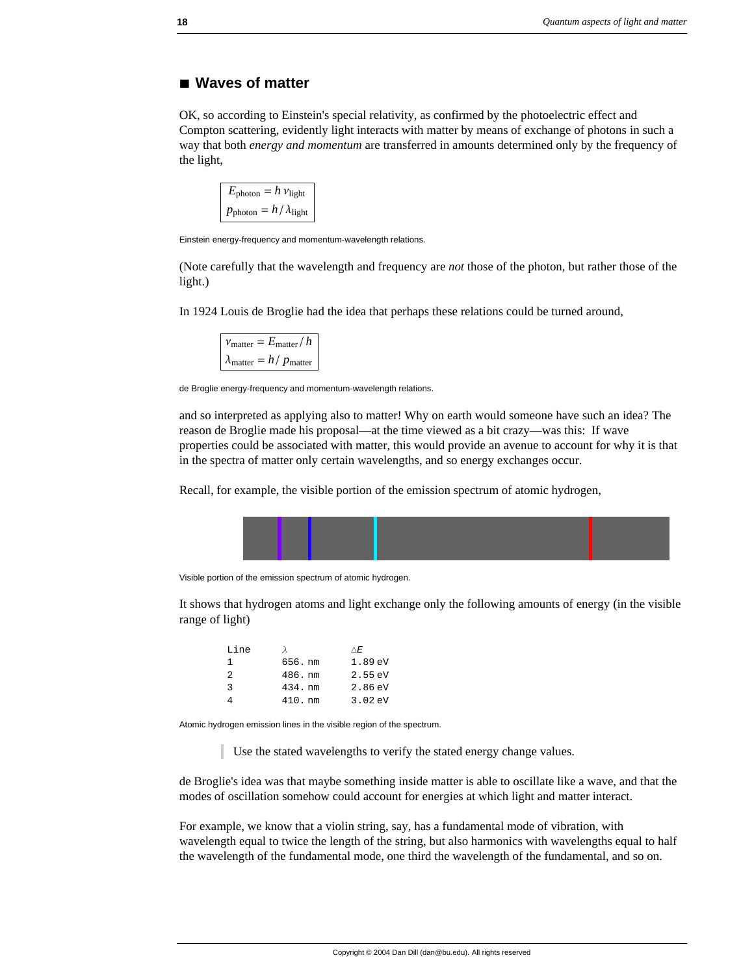# **à Waves of matter**

OK, so according to Einstein's special relativity, as confirmed by the photoelectric effect and Compton scattering, evidently light interacts with matter by means of exchange of photons in such a way that both *energy and momentum* are transferred in amounts determined only by the frequency of the light,

```
E_{\text{photon}} = h v_{\text{light}}p_{\text{photon}} = h / \lambda_{\text{light}}
```
Einstein energy-frequency and momentum-wavelength relations.

(Note carefully that the wavelength and frequency are *not* those of the photon, but rather those of the light.)

In 1924 Louis de Broglie had the idea that perhaps these relations could be turned around,

```
v_{\text{matter}} = E_{\text{matter}}/h\lambda_{\text{matter}} = h / p_{\text{matter}}
```
de Broglie energy-frequency and momentum-wavelength relations.

and so interpreted as applying also to matter! Why on earth would someone have such an idea? The reason de Broglie made his proposal—at the time viewed as a bit crazy—was this: If wave properties could be associated with matter, this would provide an avenue to account for why it is that in the spectra of matter only certain wavelengths, and so energy exchanges occur.

Recall, for example, the visible portion of the emission spectrum of atomic hydrogen,



Visible portion of the emission spectrum of atomic hydrogen.

It shows that hydrogen atoms and light exchange only the following amounts of energy (in the visible range of light)

| Line |           | ΛF.               |
|------|-----------|-------------------|
| 1.   | 656. nm   | 1.89 eV           |
| 2    | 486.nm    | 2.55eV            |
| 3    | 434. nm   | $2.86 \text{ eV}$ |
|      | $410.$ nm | $3.02 \text{ eV}$ |

Atomic hydrogen emission lines in the visible region of the spectrum.

Use the stated wavelengths to verify the stated energy change values.

de Broglie's idea was that maybe something inside matter is able to oscillate like a wave, and that the modes of oscillation somehow could account for energies at which light and matter interact.

For example, we know that a violin string, say, has a fundamental mode of vibration, with wavelength equal to twice the length of the string, but also harmonics with wavelengths equal to half the wavelength of the fundamental mode, one third the wavelength of the fundamental, and so on.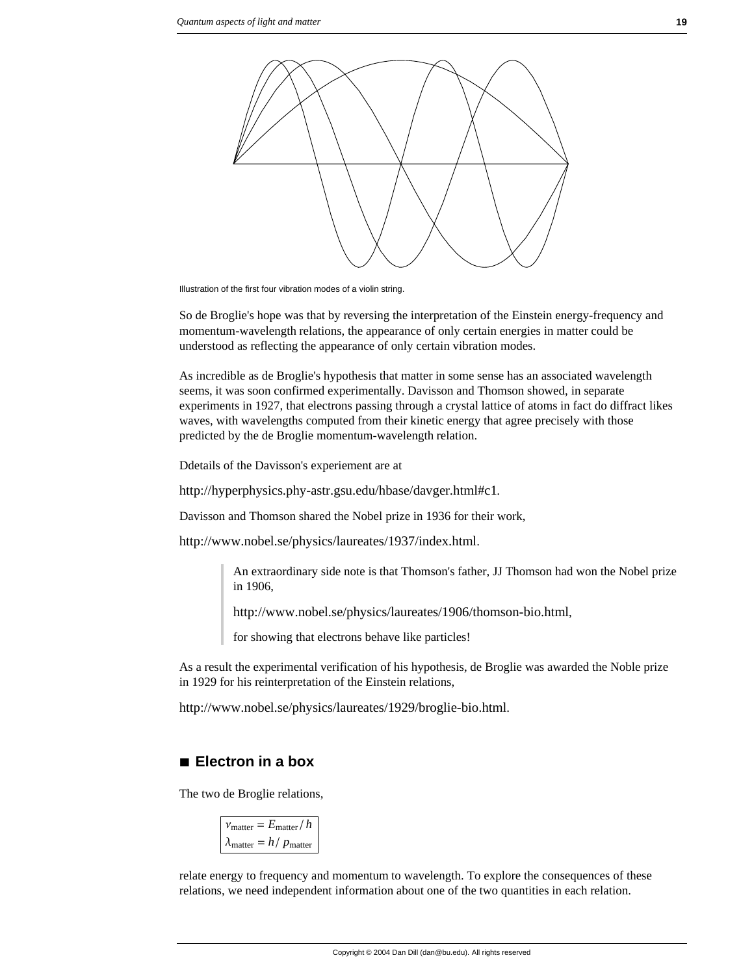

Illustration of the first four vibration modes of a violin string.

So de Broglie's hope was that by reversing the interpretation of the Einstein energy-frequency and momentum-wavelength relations, the appearance of only certain energies in matter could be understood as reflecting the appearance of only certain vibration modes.

As incredible as de Broglie's hypothesis that matter in some sense has an associated wavelength seems, it was soon confirmed experimentally. Davisson and Thomson showed, in separate experiments in 1927, that electrons passing through a crystal lattice of atoms in fact do diffract likes waves, with wavelengths computed from their kinetic energy that agree precisely with those predicted by the de Broglie momentum-wavelength relation.

Ddetails of the Davisson's experiement are at

http://hyperphysics.phy-astr.gsu.edu/hbase/davger.html#c1*.*

Davisson and Thomson shared the Nobel prize in 1936 for their work,

http://www.nobel.se/physics/laureates/1937/index.html.

An extraordinary side note is that Thomson's father, JJ Thomson had won the Nobel prize in 1906,

http://www.nobel.se/physics/laureates/1906/thomson-bio.html,

for showing that electrons behave like particles!

As a result the experimental verification of his hypothesis, de Broglie was awarded the Noble prize in 1929 for his reinterpretation of the Einstein relations,

http://www.nobel.se/physics/laureates/1929/broglie-bio.html.

# **à Electron in a box**

The two de Broglie relations,

 $v_{\text{matter}} = E_{\text{matter}} / h$  $\lambda_{\text{matter}} = h / p_{\text{matter}}$ 

relate energy to frequency and momentum to wavelength. To explore the consequences of these relations, we need independent information about one of the two quantities in each relation.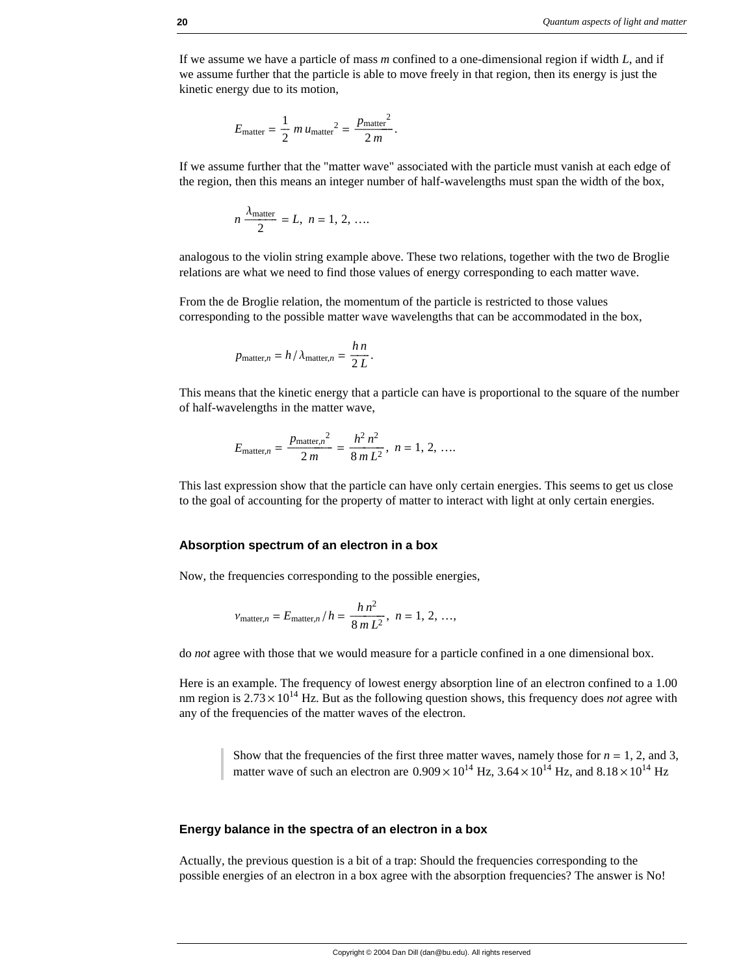If we assume we have a particle of mass *m* confined to a one-dimensional region if width *L*, and if we assume further that the particle is able to move freely in that region, then its energy is just the kinetic energy due to its motion,

$$
E_{\text{matter}} = \frac{1}{2} m u_{\text{matter}}^2 = \frac{p_{\text{matter}}^2}{2 m}.
$$

If we assume further that the "matter wave" associated with the particle must vanish at each edge of the region, then this means an integer number of half-wavelengths must span the width of the box,

$$
n \frac{\lambda_{\text{matter}}}{2} = L, \ n = 1, 2, \ \ldots
$$

analogous to the violin string example above. These two relations, together with the two de Broglie relations are what we need to find those values of energy corresponding to each matter wave.

From the de Broglie relation, the momentum of the particle is restricted to those values corresponding to the possible matter wave wavelengths that can be accommodated in the box,

$$
p_{\text{matter},n} = h / \lambda_{\text{matter},n} = \frac{h n}{2 L}.
$$

This means that the kinetic energy that a particle can have is proportional to the square of the number of half-wavelengths in the matter wave,

$$
E_{\text{matter},n} = \frac{p_{\text{matter},n}^2}{2m} = \frac{h^2 n^2}{8m L^2}, n = 1, 2, ....
$$

This last expression show that the particle can have only certain energies. This seems to get us close to the goal of accounting for the property of matter to interact with light at only certain energies.

### **Absorption spectrum of an electron in a box**

Now, the frequencies corresponding to the possible energies,

$$
v_{\text{matter},n} = E_{\text{matter},n} / h = \frac{h n^2}{8 m L^2}, n = 1, 2, ...,
$$

do *not* agree with those that we would measure for a particle confined in a one dimensional box.

Here is an example. The frequency of lowest energy absorption line of an electron confined to a 1.00 nm region is  $2.73 \times 10^{14}$  Hz. But as the following question shows, this frequency does *not* agree with any of the frequencies of the matter waves of the electron.

> Show that the frequencies of the first three matter waves, namely those for  $n = 1, 2$ , and 3, matter wave of such an electron are  $0.909 \times 10^{14}$  Hz,  $3.64 \times 10^{14}$  Hz, and  $8.18 \times 10^{14}$  Hz

#### **Energy balance in the spectra of an electron in a box**

Actually, the previous question is a bit of a trap: Should the frequencies corresponding to the possible energies of an electron in a box agree with the absorption frequencies? The answer is No!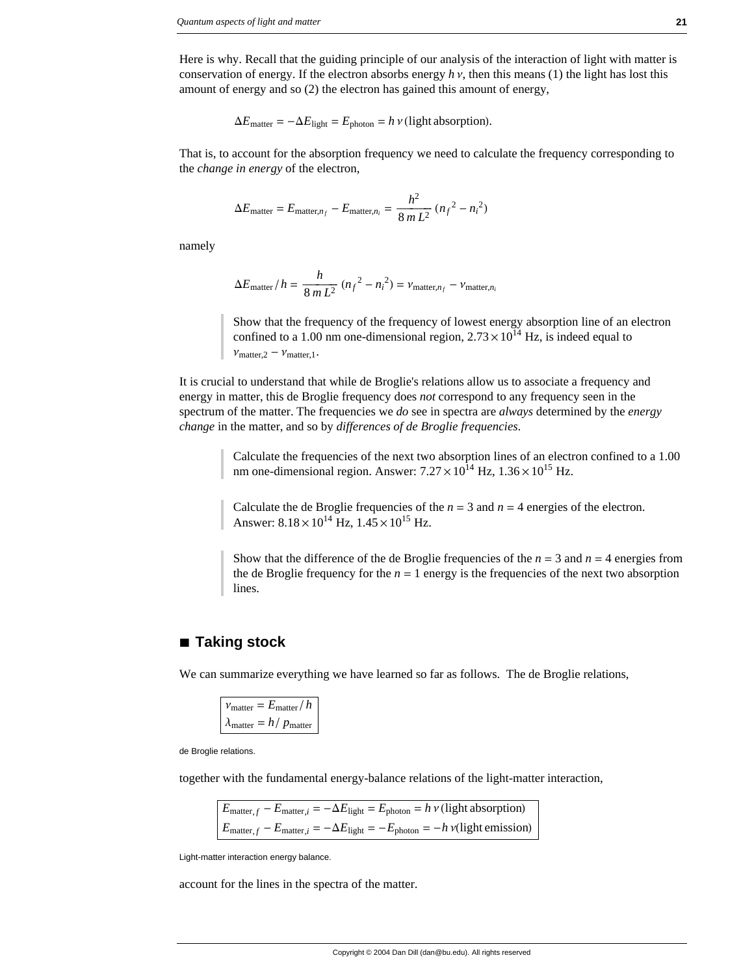Here is why. Recall that the guiding principle of our analysis of the interaction of light with matter is conservation of energy. If the electron absorbs energy  $h v$ , then this means (1) the light has lost this amount of energy and so (2) the electron has gained this amount of energy,

$$
\Delta E_{\text{matter}} = -\Delta E_{\text{light}} = E_{\text{photon}} = h \, v \, (\text{light absorption}).
$$

That is, to account for the absorption frequency we need to calculate the frequency corresponding to the *change in energy* of the electron,

$$
\Delta E_{\text{matter}} = E_{\text{matter}, n_f} - E_{\text{matter}, n_i} = \frac{h^2}{8 mL^2} (n_f^2 - n_i^2)
$$

namely

$$
\Delta E_{\text{matter}}/h = \frac{h}{8m L^2} (n_f^2 - n_i^2) = v_{\text{matter}, n_f} - v_{\text{matter}, n_i}
$$

Show that the frequency of the frequency of lowest energy absorption line of an electron confined to a 1.00 nm one-dimensional region,  $2.73 \times 10^{14}$  Hz, is indeed equal to  $v_{\text{matter},2} - v_{\text{matter},1}$ .

It is crucial to understand that while de Broglie's relations allow us to associate a frequency and energy in matter, this de Broglie frequency does *not* correspond to any frequency seen in the spectrum of the matter. The frequencies we *do* see in spectra are *always* determined by the *energy change* in the matter, and so by *differences of de Broglie frequencies*.

> Calculate the frequencies of the next two absorption lines of an electron confined to a 1.00 nm one-dimensional region. Answer:  $7.27 \times 10^{14}$  Hz,  $1.36 \times 10^{15}$  Hz.

Calculate the de Broglie frequencies of the  $n = 3$  and  $n = 4$  energies of the electron. Answer:  $8.18 \times 10^{14}$  Hz,  $1.45 \times 10^{15}$  Hz.

Show that the difference of the de Broglie frequencies of the  $n = 3$  and  $n = 4$  energies from the de Broglie frequency for the  $n = 1$  energy is the frequencies of the next two absorption lines.

# **à Taking stock**

We can summarize everything we have learned so far as follows. The de Broglie relations,

$$
\nu_{\text{matter}} = E_{\text{matter}} / h
$$

$$
\lambda_{\text{matter}} = h / p_{\text{matter}}
$$

de Broglie relations.

together with the fundamental energy-balance relations of the light-matter interaction,

 $E_{\text{matter}, f} - E_{\text{matter}, i} = -\Delta E_{\text{light}} = E_{\text{photon}} = h \, v \, \text{(light absorption)}$  $E_{\text{matter}, f} - E_{\text{matter}, i} = -\Delta E_{\text{light}} = -E_{\text{photon}} = -h \nu(\text{light emission})$ 

Light-matter interaction energy balance.

account for the lines in the spectra of the matter.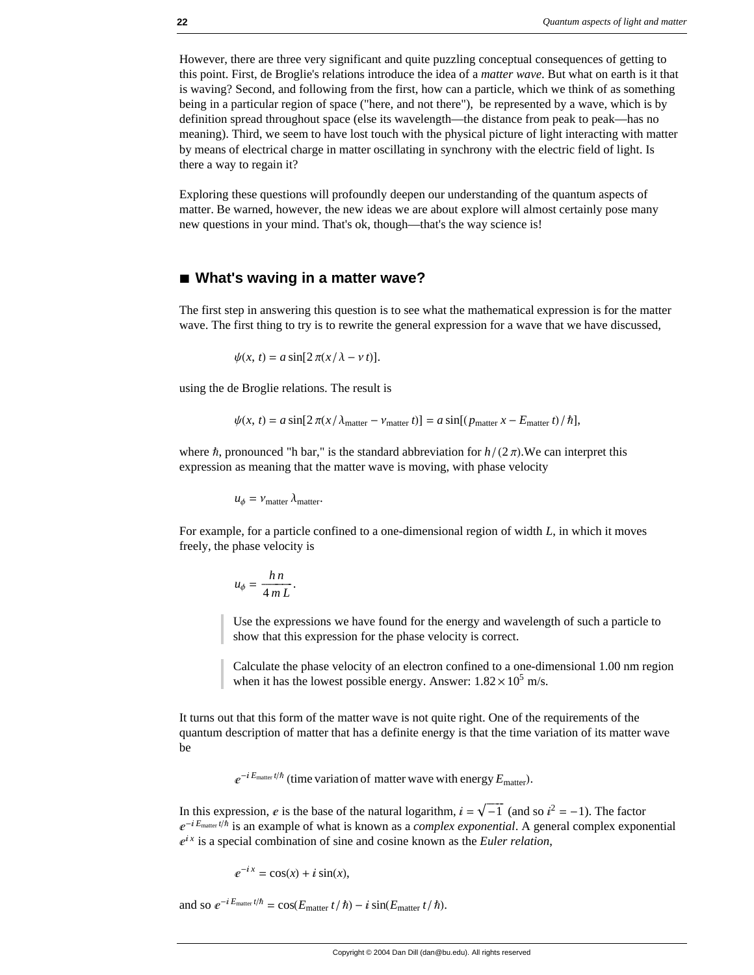However, there are three very significant and quite puzzling conceptual consequences of getting to this point. First, de Broglie's relations introduce the idea of a *matter wave*. But what on earth is it that is waving? Second, and following from the first, how can a particle, which we think of as something being in a particular region of space ("here, and not there"), be represented by a wave, which is by definition spread throughout space (else its wavelength—the distance from peak to peak—has no meaning). Third, we seem to have lost touch with the physical picture of light interacting with matter by means of electrical charge in matter oscillating in synchrony with the electric field of light. Is there a way to regain it?

Exploring these questions will profoundly deepen our understanding of the quantum aspects of matter. Be warned, however, the new ideas we are about explore will almost certainly pose many new questions in your mind. That's ok, though—that's the way science is!

### ■ What's waving in a matter wave?

The first step in answering this question is to see what the mathematical expression is for the matter wave. The first thing to try is to rewrite the general expression for a wave that we have discussed,

$$
\psi(x,\,t)=a\sin[2\,\pi(x/\,\lambda-\nu\,t)].
$$

using the de Broglie relations. The result is

$$
\psi(x, t) = a \sin[2\pi(x/\lambda_{\text{matter}} - v_{\text{matter}} t)] = a \sin[(p_{\text{matter}} x - E_{\text{matter}} t)/\hbar],
$$

where  $\hbar$ , pronounced "h bar," is the standard abbreviation for  $h/(2\pi)$ . We can interpret this expression as meaning that the matter wave is moving, with phase velocity

 $u_{\phi} = v_{\text{matter}} \lambda_{\text{matter}}$ .

For example, for a particle confined to a one-dimensional region of width *L*, in which it moves freely, the phase velocity is

$$
u_{\phi} = \frac{h\,n}{4\,m\,L}.
$$

Use the expressions we have found for the energy and wavelength of such a particle to show that this expression for the phase velocity is correct.

Calculate the phase velocity of an electron confined to a one-dimensional 1.00 nm region when it has the lowest possible energy. Answer:  $1.82 \times 10^5$  m/s.

It turns out that this form of the matter wave is not quite right. One of the requirements of the quantum description of matter that has a definite energy is that the time variation of its matter wave be

 $e^{-iE_{\text{matter}}t/\hbar}$  (time variation of matter wave with energy  $E_{\text{matter}}$ ).

In this expression, e is the base of the natural logarithm,  $i = \sqrt{-1}$  (and so  $i^2 = -1$ ). The factor  $e^{-iE_{\text{matter}}t/\hbar}$  is an example of what is known as a *complex exponential*. A general complex exponential  $e^{ix}$  is a special combination of sine and cosine known as the *Euler relation*,

$$
e^{-ix} = \cos(x) + i\sin(x),
$$

and so  $e^{-iE_{\text{matter}}t/\hbar} = \cos(E_{\text{matter}}t/\hbar) - i\sin(E_{\text{matter}}t/\hbar).$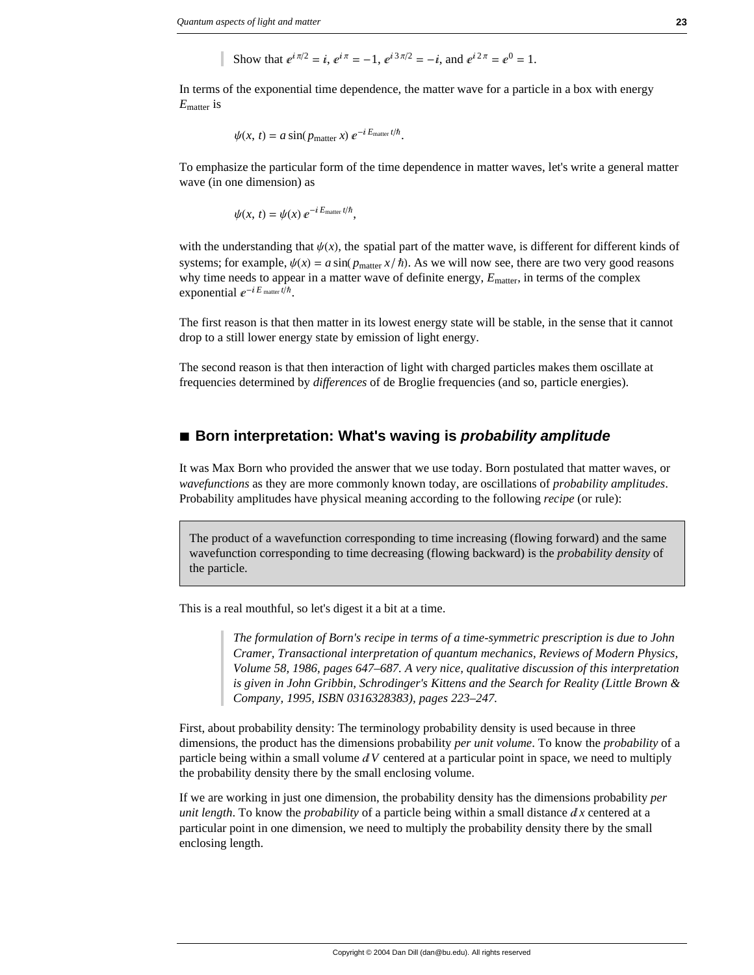Show that  $e^{i\pi/2} = i$ ,  $e^{i\pi} = -1$ ,  $e^{i3\pi/2} = -i$ , and  $e^{i2\pi} = e^{0} = 1$ .

In terms of the exponential time dependence, the matter wave for a particle in a box with energy *E*matter is

$$
\psi(x, t) = a \sin(p_{\text{matter}} x) e^{-i E_{\text{matter}} t/\hbar}.
$$

To emphasize the particular form of the time dependence in matter waves, let's write a general matter wave (in one dimension) as

 $\psi(x, t) = \psi(x) e^{-iE_{\text{matter}} t/\hbar}$ ,

with the understanding that  $\psi(x)$ , the spatial part of the matter wave, is different for different kinds of systems; for example,  $\psi(x) = a \sin(p_{\text{matter}} x / \hbar)$ . As we will now see, there are two very good reasons why time needs to appear in a matter wave of definite energy,  $E_{\text{matter}}$ , in terms of the complex exponential  $e^{-iE_{\text{matter}}t/\hbar}$ .

The first reason is that then matter in its lowest energy state will be stable, in the sense that it cannot drop to a still lower energy state by emission of light energy.

The second reason is that then interaction of light with charged particles makes them oscillate at frequencies determined by *differences* of de Broglie frequencies (and so, particle energies).

# ■ **Born interpretation: What's waving is** *probability amplitude*

It was Max Born who provided the answer that we use today. Born postulated that matter waves, or *wavefunctions* as they are more commonly known today, are oscillations of *probability amplitudes*. Probability amplitudes have physical meaning according to the following *recipe* (or rule):

The product of a wavefunction corresponding to time increasing (flowing forward) and the same wavefunction corresponding to time decreasing (flowing backward) is the *probability density* of the particle.

This is a real mouthful, so let's digest it a bit at a time.

*The formulation of Born's recipe in terms of a time-symmetric prescription is due to John Cramer, Transactional interpretation of quantum mechanics, Reviews of Modern Physics, Volume 58, 1986, pages 647–687. A very nice, qualitative discussion of this interpretation is given in John Gribbin, Schrodinger's Kittens and the Search for Reality (Little Brown & Company, 1995, ISBN 0316328383), pages 223–247.*

First, about probability density: The terminology probability density is used because in three dimensions, the product has the dimensions probability *per unit volume*. To know the *probability* of a particle being within a small volume  $dV$  centered at a particular point in space, we need to multiply the probability density there by the small enclosing volume.

If we are working in just one dimension, the probability density has the dimensions probability *per unit length*. To know the *probability* of a particle being within a small distance  $dx$  centered at a particular point in one dimension, we need to multiply the probability density there by the small enclosing length.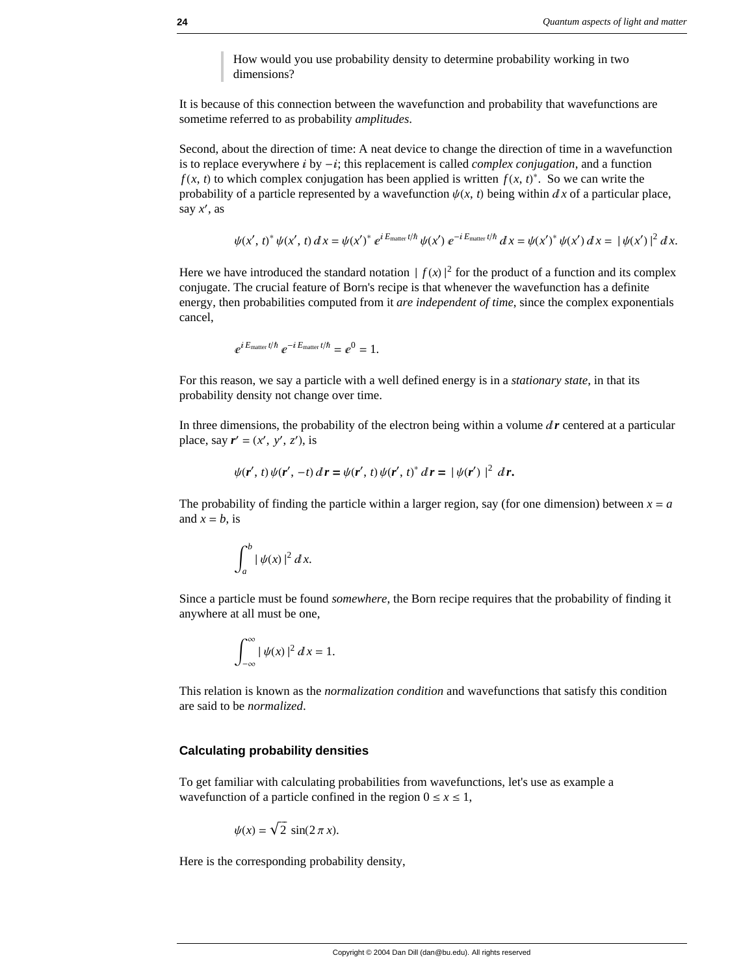How would you use probability density to determine probability working in two dimensions?

It is because of this connection between the wavefunction and probability that wavefunctions are sometime referred to as probability *amplitudes*.

Second, about the direction of time: A neat device to change the direction of time in a wavefunction is to replace everywhere  $\hat{i}$  by  $-\hat{i}$ ; this replacement is called *complex conjugation*, and a function *f* (*x*, *t*) to which complex conjugation has been applied is written  $f(x, t)^*$ . So we can write the probability of a particle represented by a wavefunction  $\psi(x, t)$  being within  $dx$  of a particular place, say  $x'$ , as

$$
\psi(x',t)^* \psi(x',t) dx = \psi(x')^* e^{iE_{\text{matter}}t/\hbar} \psi(x') e^{-iE_{\text{matter}}t/\hbar} dx = \psi(x')^* \psi(x') dx = |\psi(x')|^2 dx.
$$

Here we have introduced the standard notation  $| f(x)|^2$  for the product of a function and its complex conjugate. The crucial feature of Born's recipe is that whenever the wavefunction has a definite energy, then probabilities computed from it *are independent of time*, since the complex exponentials cancel,

$$
e^{i E_{\text{matter}} t/\hbar} e^{-i E_{\text{matter}} t/\hbar} = e^0 = 1.
$$

For this reason, we say a particle with a well defined energy is in a *stationary state*, in that its probability density not change over time.

In three dimensions, the probability of the electron being within a volume  $dr$  centered at a particular place, say  $\mathbf{r}' = (x', y', z')$ , is

$$
\psi(\mathbf{r}',\,t)\,\psi(\mathbf{r}',\,-t)\,d\,\mathbf{r}=\psi(\mathbf{r}',\,t)\,\psi(\mathbf{r}',\,t)^*\,d\,\mathbf{r}=\,|\,\psi(\mathbf{r}')|^2\,\,d\,\mathbf{r}.
$$

The probability of finding the particle within a larger region, say (for one dimension) between  $x = a$ and  $x = b$ , is

$$
\int_a^b |\psi(x)|^2 dx.
$$

Since a particle must be found *somewhere*, the Born recipe requires that the probability of finding it anywhere at all must be one,

$$
\int_{-\infty}^{\infty} |\psi(x)|^2 dx = 1.
$$

This relation is known as the *normalization condition* and wavefunctions that satisfy this condition are said to be *normalized*.

### **Calculating probability densities**

To get familiar with calculating probabilities from wavefunctions, let's use as example a wavefunction of a particle confined in the region  $0 \le x \le 1$ ,

$$
\psi(x) = \sqrt{2} \, \sin(2\,\pi\,x).
$$

Here is the corresponding probability density,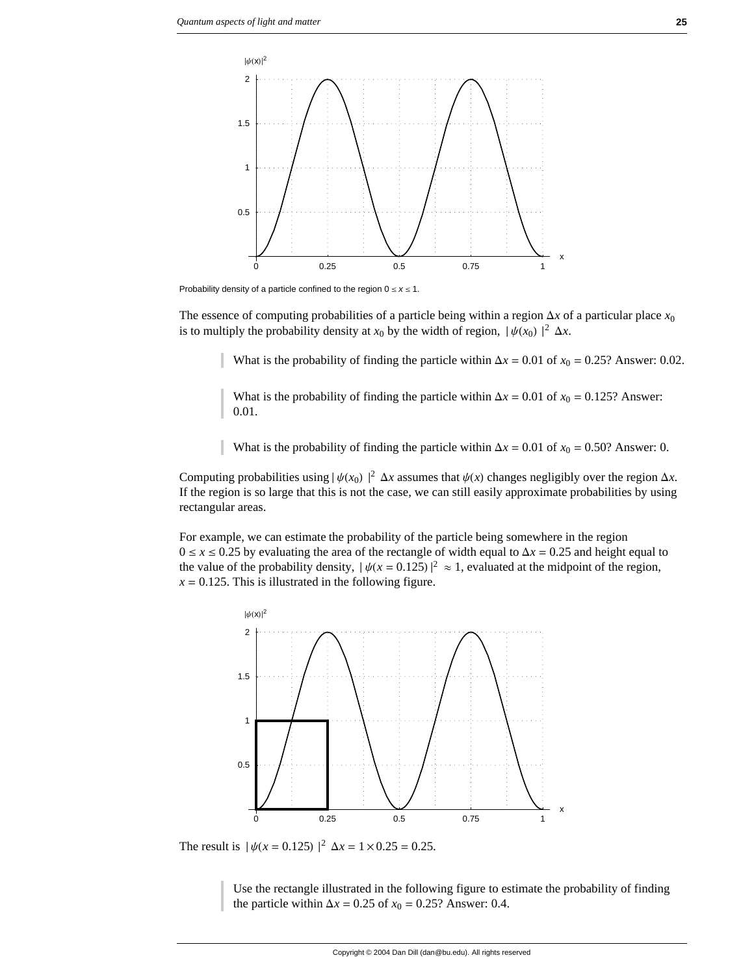

Probability density of a particle confined to the region  $0 \le x \le 1$ .

The essence of computing probabilities of a particle being within a region  $\Delta x$  of a particular place  $x_0$ is to multiply the probability density at  $x_0$  by the width of region,  $|\psi(x_0)|^2 \Delta x$ .

What is the probability of finding the particle within  $\Delta x = 0.01$  of  $x_0 = 0.25$ ? Answer: 0.02.

What is the probability of finding the particle within  $\Delta x = 0.01$  of  $x_0 = 0.125$ ? Answer: 0.01.

What is the probability of finding the particle within  $\Delta x = 0.01$  of  $x_0 = 0.50$ ? Answer: 0.

Computing probabilities using  $|\psi(x_0)|^2 \Delta x$  assumes that  $\psi(x)$  changes negligibly over the region  $\Delta x$ . If the region is so large that this is not the case, we can still easily approximate probabilities by using rectangular areas.

For example, we can estimate the probability of the particle being somewhere in the region  $0 \le x \le 0.25$  by evaluating the area of the rectangle of width equal to  $\Delta x = 0.25$  and height equal to the value of the probability density,  $|\psi(x = 0.125)|^2 \approx 1$ , evaluated at the midpoint of the region,  $x = 0.125$ . This is illustrated in the following figure.



The result is  $|\psi(x = 0.125)|^2 \Delta x = 1 \times 0.25 = 0.25$ .

Use the rectangle illustrated in the following figure to estimate the probability of finding the particle within  $\Delta x = 0.25$  of  $x_0 = 0.25$ ? Answer: 0.4.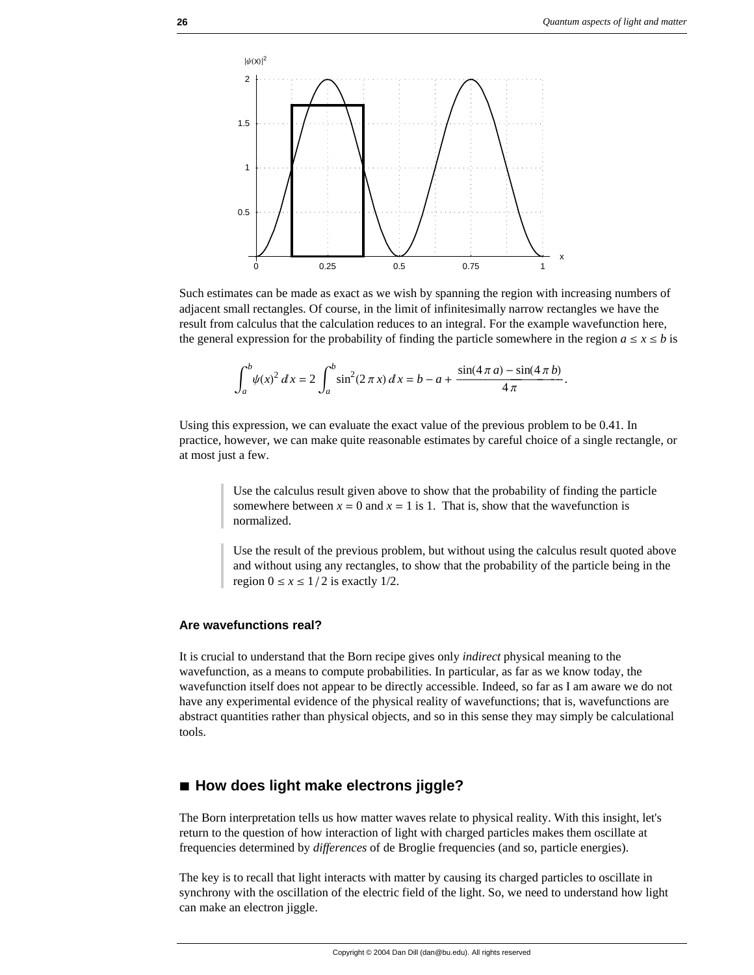

Such estimates can be made as exact as we wish by spanning the region with increasing numbers of adjacent small rectangles. Of course, in the limit of infinitesimally narrow rectangles we have the result from calculus that the calculation reduces to an integral. For the example wavefunction here, the general expression for the probability of finding the particle somewhere in the region  $a \le x \le b$  is

$$
\int_{a}^{b} \psi(x)^{2} dx = 2 \int_{a}^{b} \sin^{2}(2 \pi x) dx = b - a + \frac{\sin(4 \pi a) - \sin(4 \pi b)}{4 \pi}.
$$

Using this expression, we can evaluate the exact value of the previous problem to be 0.41. In practice, however, we can make quite reasonable estimates by careful choice of a single rectangle, or at most just a few.

> Use the calculus result given above to show that the probability of finding the particle somewhere between  $x = 0$  and  $x = 1$  is 1. That is, show that the wavefunction is normalized.

Use the result of the previous problem, but without using the calculus result quoted above and without using any rectangles, to show that the probability of the particle being in the region  $0 \le x \le 1/2$  is exactly 1/2.

### **Are wavefunctions real?**

It is crucial to understand that the Born recipe gives only *indirect* physical meaning to the wavefunction, as a means to compute probabilities. In particular, as far as we know today, the wavefunction itself does not appear to be directly accessible. Indeed, so far as I am aware we do not have any experimental evidence of the physical reality of wavefunctions; that is, wavefunctions are abstract quantities rather than physical objects, and so in this sense they may simply be calculational tools.

## **à How does light make electrons jiggle?**

The Born interpretation tells us how matter waves relate to physical reality. With this insight, let's return to the question of how interaction of light with charged particles makes them oscillate at frequencies determined by *differences* of de Broglie frequencies (and so, particle energies).

The key is to recall that light interacts with matter by causing its charged particles to oscillate in synchrony with the oscillation of the electric field of the light. So, we need to understand how light can make an electron jiggle.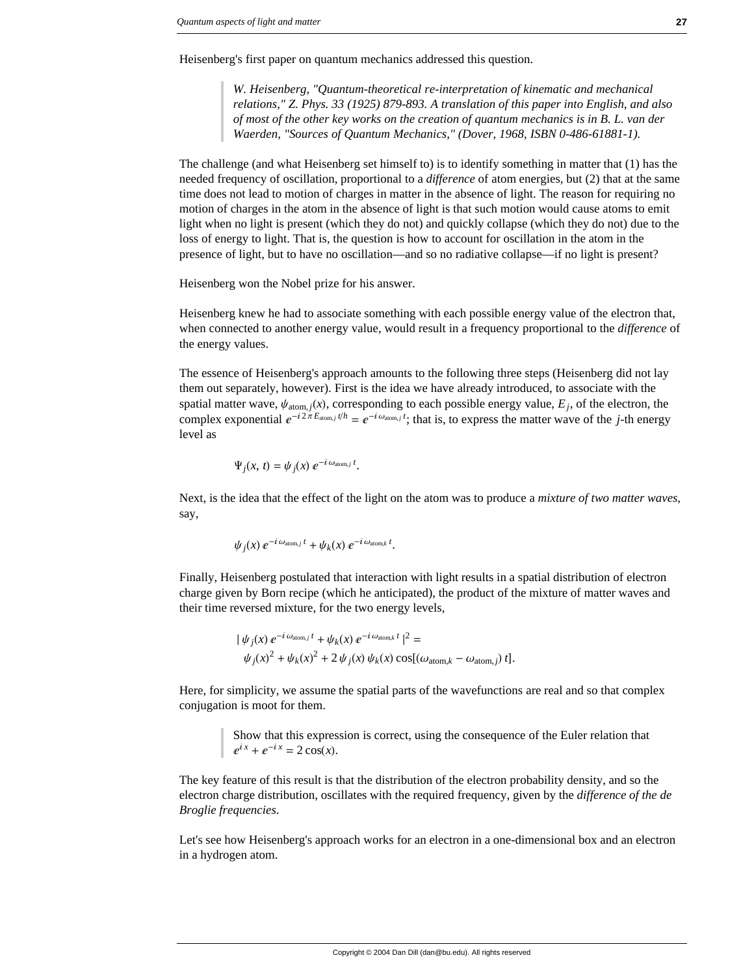Heisenberg's first paper on quantum mechanics addressed this question.

*W. Heisenberg, "Quantum-theoretical re-interpretation of kinematic and mechanical relations," Z. Phys. 33 (1925) 879-893. A translation of this paper into English, and also of most of the other key works on the creation of quantum mechanics is in B. L. van der Waerden, "Sources of Quantum Mechanics," (Dover, 1968, ISBN 0-486-61881-1).* 

The challenge (and what Heisenberg set himself to) is to identify something in matter that (1) has the needed frequency of oscillation, proportional to a *difference* of atom energies, but (2) that at the same time does not lead to motion of charges in matter in the absence of light. The reason for requiring no motion of charges in the atom in the absence of light is that such motion would cause atoms to emit light when no light is present (which they do not) and quickly collapse (which they do not) due to the loss of energy to light. That is, the question is how to account for oscillation in the atom in the presence of light, but to have no oscillation—and so no radiative collapse—if no light is present?

Heisenberg won the Nobel prize for his answer.

Heisenberg knew he had to associate something with each possible energy value of the electron that, when connected to another energy value, would result in a frequency proportional to the *difference* of the energy values.

The essence of Heisenberg's approach amounts to the following three steps (Heisenberg did not lay them out separately, however). First is the idea we have already introduced, to associate with the spatial matter wave,  $\psi_{\text{atom},j}(x)$ , corresponding to each possible energy value,  $E_j$ , of the electron, the complex exponential  $e^{-i2\pi E_{\text{atom},j} t/h} = e^{-i\omega_{\text{atom},j} t}$ ; that is, to express the matter wave of the *j*-th energy level as

$$
\Psi_j(x, t) = \psi_j(x) e^{-i \omega_{\text{atom},j} t}.
$$

Next, is the idea that the effect of the light on the atom was to produce a *mixture of two matter waves*, say,

$$
\psi_j(x) \, e^{-i \omega_{\text{atom},j} \, t} + \psi_k(x) \, e^{-i \omega_{\text{atom},k} \, t}.
$$

Finally, Heisenberg postulated that interaction with light results in a spatial distribution of electron charge given by Born recipe (which he anticipated), the product of the mixture of matter waves and their time reversed mixture, for the two energy levels,

$$
\begin{aligned} \n\left| \psi_j(x) \, e^{-i \omega_{\text{atom},j} \, t} + \psi_k(x) \, e^{-i \, \omega_{\text{atom},k} \, t} \right|^2 &= \\ \n\psi_j(x)^2 + \psi_k(x)^2 + 2 \, \psi_j(x) \, \psi_k(x) \cos[(\omega_{\text{atom},k} - \omega_{\text{atom},j}) \, t]. \n\end{aligned}
$$

Here, for simplicity, we assume the spatial parts of the wavefunctions are real and so that complex conjugation is moot for them.

> Show that this expression is correct, using the consequence of the Euler relation that  $e^{ix} + e^{-ix} = 2 \cos(x)$ .

The key feature of this result is that the distribution of the electron probability density, and so the electron charge distribution, oscillates with the required frequency, given by the *difference of the de Broglie frequencies*.

Let's see how Heisenberg's approach works for an electron in a one-dimensional box and an electron in a hydrogen atom.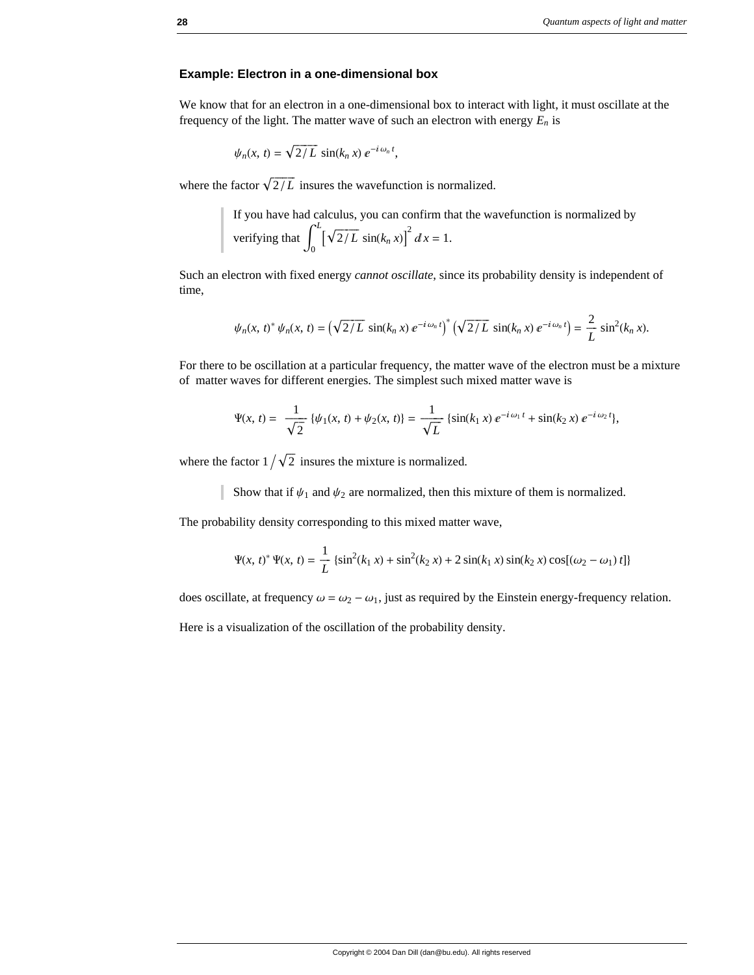### **Example: Electron in a one-dimensional box**

We know that for an electron in a one-dimensional box to interact with light, it must oscillate at the frequency of the light. The matter wave of such an electron with energy  $E_n$  is

$$
\psi_n(x, t) = \sqrt{2/L} \, \sin(k_n \, x) \, e^{-i \, \omega_n \, t},
$$

where the factor  $\sqrt{2/L}$  insures the wavefunction is normalized.

If you have had calculus, you can confirm that the wavefunction is normalized by verifying that  $\int_0^1$ *L*  $[\sqrt{2/L} \sin(k_n x)]^2 dx = 1.$ 

Such an electron with fixed energy *cannot oscillate*, since its probability density is independent of time,

$$
\psi_n(x, t)^* \psi_n(x, t) = \left(\sqrt{2/L} \sin(k_n x) e^{-i \omega_n t}\right)^* \left(\sqrt{2/L} \sin(k_n x) e^{-i \omega_n t}\right) = \frac{2}{L} \sin^2(k_n x).
$$

For there to be oscillation at a particular frequency, the matter wave of the electron must be a mixture of matter waves for different energies. The simplest such mixed matter wave is

$$
\Psi(x,\,t) = \frac{1}{\sqrt{2}}\,\{\psi_1(x,\,t) + \psi_2(x,\,t)\} = \frac{1}{\sqrt{L}}\,\{\sin(k_1\,x)\,e^{-i\,\omega_1\,t} + \sin(k_2\,x)\,e^{-i\,\omega_2\,t}\},
$$

where the factor  $1/\sqrt{2}$  insures the mixture is normalized.

Show that if  $\psi_1$  and  $\psi_2$  are normalized, then this mixture of them is normalized.

The probability density corresponding to this mixed matter wave,

$$
\Psi(x, t)^{*}\Psi(x, t) = \frac{1}{L}\left\{\sin^{2}(k_{1} x) + \sin^{2}(k_{2} x) + 2\sin(k_{1} x)\sin(k_{2} x)\cos[(\omega_{2} - \omega_{1}) t]\right\}
$$

does oscillate, at frequency  $\omega = \omega_2 - \omega_1$ , just as required by the Einstein energy-frequency relation.

Here is a visualization of the oscillation of the probability density.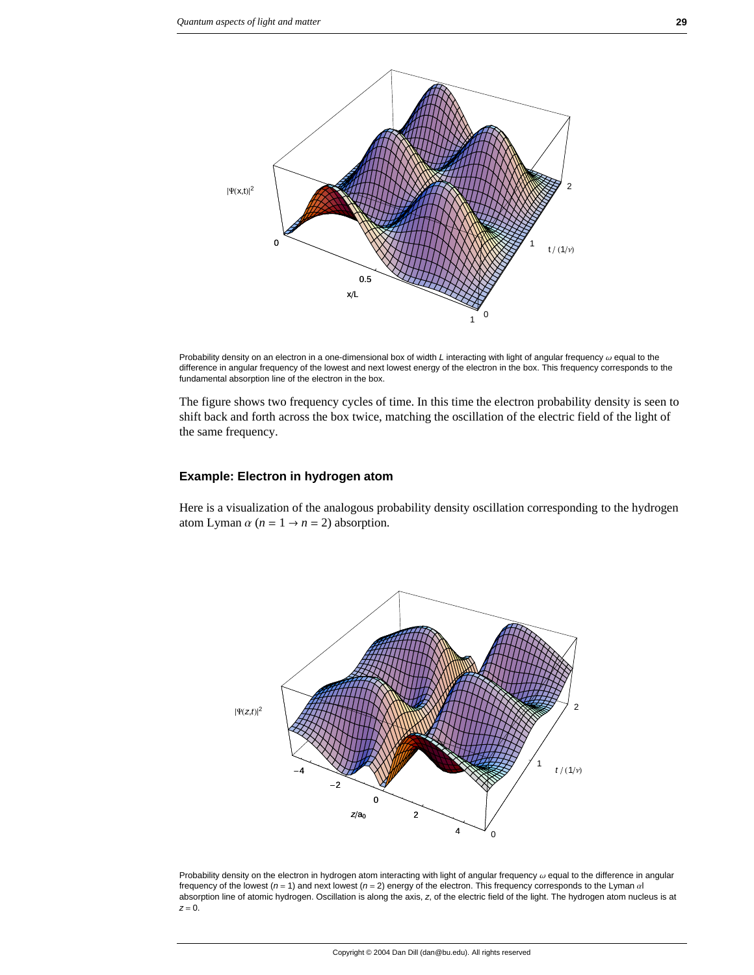

Probability density on an electron in a one-dimensional box of width *L* interacting with light of angular frequency  $\omega$  equal to the difference in angular frequency of the lowest and next lowest energy of the electron in the box. This frequency corresponds to the fundamental absorption line of the electron in the box.

The figure shows two frequency cycles of time. In this time the electron probability density is seen to shift back and forth across the box twice, matching the oscillation of the electric field of the light of the same frequency.

### **Example: Electron in hydrogen atom**

Here is a visualization of the analogous probability density oscillation corresponding to the hydrogen atom Lyman  $\alpha$  ( $n = 1 \rightarrow n = 2$ ) absorption.



Probability density on the electron in hydrogen atom interacting with light of angular frequency  $\omega$  equal to the difference in angular frequency of the lowest ( $n = 1$ ) and next lowest ( $n = 2$ ) energy of the electron. This frequency corresponds to the Lyman  $\alpha$ absorption line of atomic hydrogen. Oscillation is along the axis, *z*, of the electric field of the light. The hydrogen atom nucleus is at *z* = 0.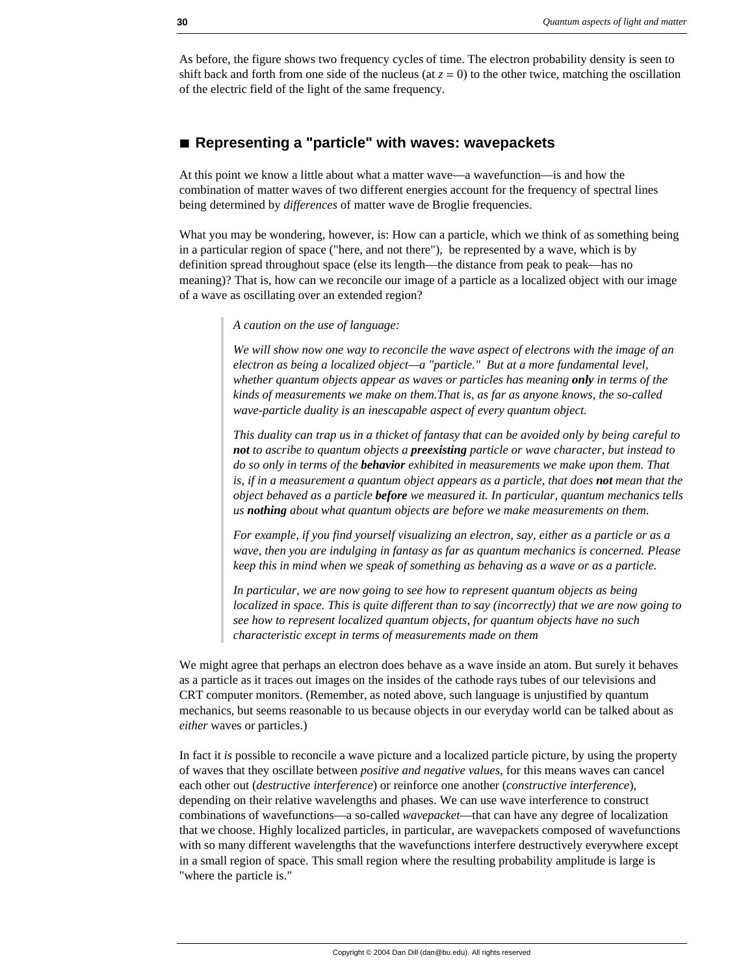As before, the figure shows two frequency cycles of time. The electron probability density is seen to shift back and forth from one side of the nucleus (at  $z = 0$ ) to the other twice, matching the oscillation of the electric field of the light of the same frequency.

# **à Representing a "particle" with waves: wavepackets**

At this point we know a little about what a matter wave—a wavefunction—is and how the combination of matter waves of two different energies account for the frequency of spectral lines being determined by *differences* of matter wave de Broglie frequencies.

What you may be wondering, however, is: How can a particle, which we think of as something being in a particular region of space ("here, and not there"), be represented by a wave, which is by definition spread throughout space (else its length—the distance from peak to peak—has no meaning)? That is, how can we reconcile our image of a particle as a localized object with our image of a wave as oscillating over an extended region?

*A caution on the use of language:*

*We will show now one way to reconcile the wave aspect of electrons with the image of an electron as being a localized object—a "particle." But at a more fundamental level, whether quantum objects appear as waves or particles has meaning only in terms of the kinds of measurements we make on them.That is, as far as anyone knows, the so-called wave-particle duality is an inescapable aspect of every quantum object.* 

*This duality can trap us in a thicket of fantasy that can be avoided only by being careful to not to ascribe to quantum objects a preexisting particle or wave character, but instead to do so only in terms of the behavior exhibited in measurements we make upon them. That is, if in a measurement a quantum object appears as a particle, that does not mean that the object behaved as a particle before we measured it. In particular, quantum mechanics tells us nothing about what quantum objects are before we make measurements on them.*

*For example, if you find yourself visualizing an electron, say, either as a particle or as a wave, then you are indulging in fantasy as far as quantum mechanics is concerned. Please keep this in mind when we speak of something as behaving as a wave or as a particle.*

*In particular, we are now going to see how to represent quantum objects as being localized in space. This is quite different than to say (incorrectly) that we are now going to see how to represent localized quantum objects, for quantum objects have no such characteristic except in terms of measurements made on them*

We might agree that perhaps an electron does behave as a wave inside an atom. But surely it behaves as a particle as it traces out images on the insides of the cathode rays tubes of our televisions and CRT computer monitors. (Remember, as noted above, such language is unjustified by quantum mechanics, but seems reasonable to us because objects in our everyday world can be talked about as *either* waves or particles.)

In fact it *is* possible to reconcile a wave picture and a localized particle picture, by using the property of waves that they oscillate between *positive and negative values*, for this means waves can cancel each other out (*destructive interference*) or reinforce one another (*constructive interference*), depending on their relative wavelengths and phases. We can use wave interference to construct combinations of wavefunctions—a so-called *wavepacket*—that can have any degree of localization that we choose. Highly localized particles, in particular, are wavepackets composed of wavefunctions with so many different wavelengths that the wavefunctions interfere destructively everywhere except in a small region of space. This small region where the resulting probability amplitude is large is "where the particle is."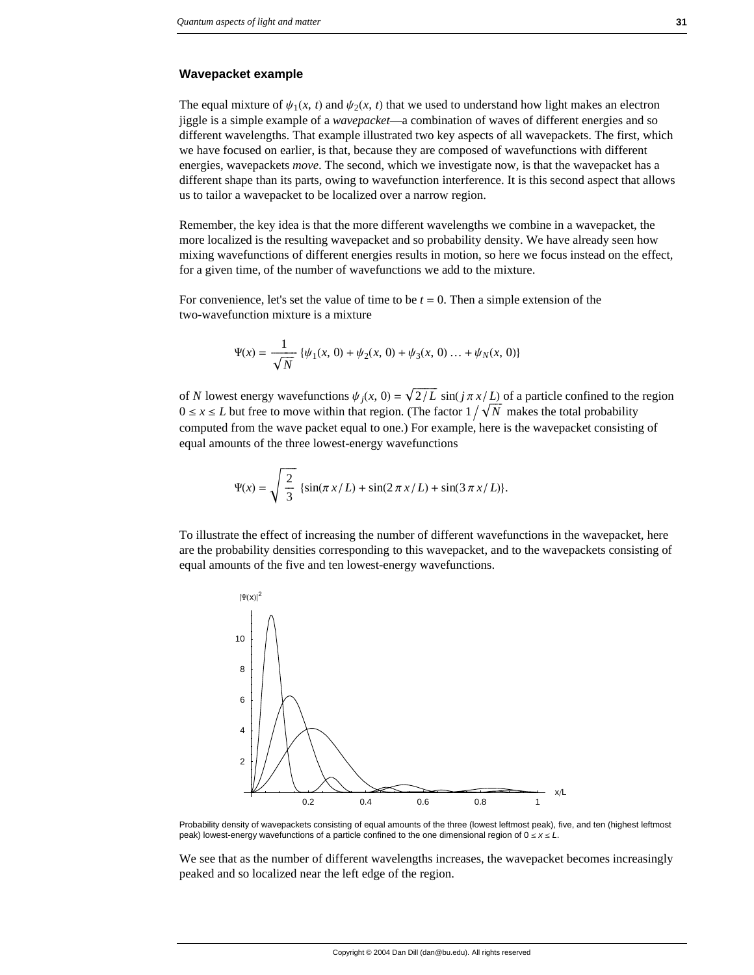#### **Wavepacket example**

The equal mixture of  $\psi_1(x, t)$  and  $\psi_2(x, t)$  that we used to understand how light makes an electron jiggle is a simple example of a *wavepacket*—a combination of waves of different energies and so different wavelengths. That example illustrated two key aspects of all wavepackets. The first, which we have focused on earlier, is that, because they are composed of wavefunctions with different energies, wavepackets *move*. The second, which we investigate now, is that the wavepacket has a different shape than its parts, owing to wavefunction interference. It is this second aspect that allows us to tailor a wavepacket to be localized over a narrow region.

Remember, the key idea is that the more different wavelengths we combine in a wavepacket, the more localized is the resulting wavepacket and so probability density. We have already seen how mixing wavefunctions of different energies results in motion, so here we focus instead on the effect, for a given time, of the number of wavefunctions we add to the mixture.

For convenience, let's set the value of time to be  $t = 0$ . Then a simple extension of the two-wavefunction mixture is a mixture

$$
\Psi(x) = \frac{1}{\sqrt{N}} \{ \psi_1(x, 0) + \psi_2(x, 0) + \psi_3(x, 0) \dots + \psi_N(x, 0) \}
$$

of *N* lowest energy wavefunctions  $\psi_i(x, 0) = \sqrt{\frac{2}{L}} \sin(j \pi x/L)$  of a particle confined to the region  $0 \le x \le L$  but free to move within that region. (The factor  $1/\sqrt{N}$  makes the total probability computed from the wave packet equal to one.) For example, here is the wavepacket consisting of equal amounts of the three lowest-energy wavefunctions

$$
\Psi(x) = \sqrt{\frac{2}{3}} \left\{ \sin(\pi x/L) + \sin(2\pi x/L) + \sin(3\pi x/L) \right\}.
$$

To illustrate the effect of increasing the number of different wavefunctions in the wavepacket, here are the probability densities corresponding to this wavepacket, and to the wavepackets consisting of equal amounts of the five and ten lowest-energy wavefunctions.



Probability density of wavepackets consisting of equal amounts of the three (lowest leftmost peak), five, and ten (highest leftmost peak) lowest-energy wavefunctions of a particle confined to the one dimensional region of  $0 \le x \le L$ .

We see that as the number of different wavelengths increases, the wavepacket becomes increasingly peaked and so localized near the left edge of the region.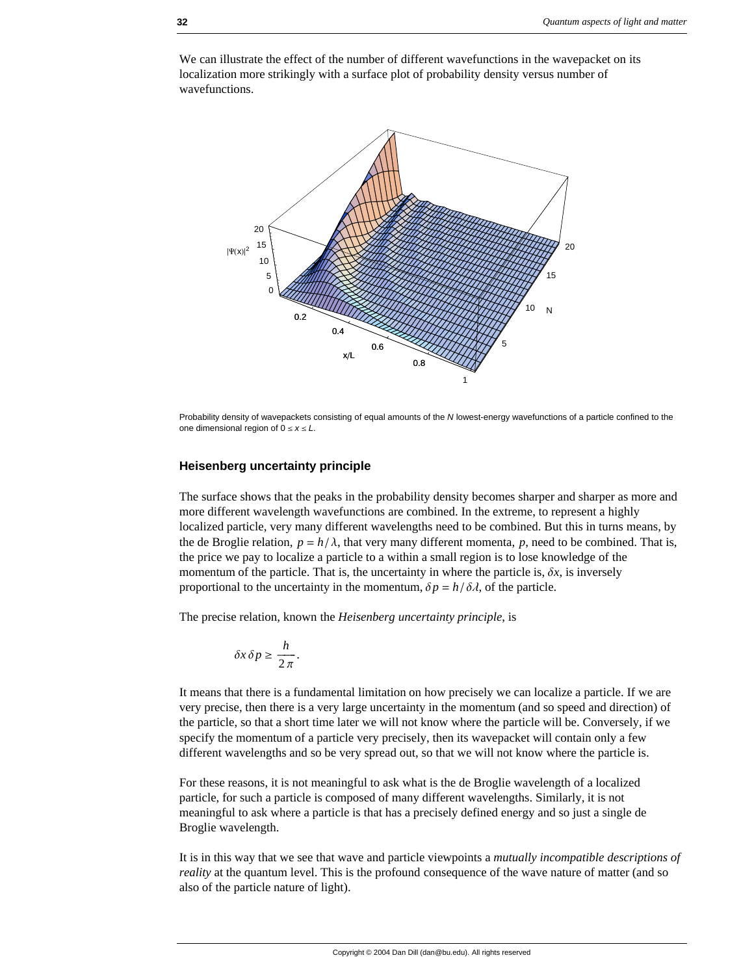

We can illustrate the effect of the number of different wavefunctions in the wavepacket on its localization more strikingly with a surface plot of probability density versus number of wavefunctions.

Probability density of wavepackets consisting of equal amounts of the *N* lowest-energy wavefunctions of a particle confined to the one dimensional region of  $0 \le x \le L$ .

### **Heisenberg uncertainty principle**

The surface shows that the peaks in the probability density becomes sharper and sharper as more and more different wavelength wavefunctions are combined. In the extreme, to represent a highly localized particle, very many different wavelengths need to be combined. But this in turns means, by the de Broglie relation,  $p = h/\lambda$ , that very many different momenta, p, need to be combined. That is, the price we pay to localize a particle to a within a small region is to lose knowledge of the momentum of the particle. That is, the uncertainty in where the particle is,  $\delta x$ , is inversely proportional to the uncertainty in the momentum,  $\delta p = h/\delta \lambda$ , of the particle.

The precise relation, known the *Heisenberg uncertainty principle*, is

$$
\delta x \, \delta p \ge \frac{h}{2\,\pi}.
$$

It means that there is a fundamental limitation on how precisely we can localize a particle. If we are very precise, then there is a very large uncertainty in the momentum (and so speed and direction) of the particle, so that a short time later we will not know where the particle will be. Conversely, if we specify the momentum of a particle very precisely, then its wavepacket will contain only a few different wavelengths and so be very spread out, so that we will not know where the particle is.

For these reasons, it is not meaningful to ask what is the de Broglie wavelength of a localized particle, for such a particle is composed of many different wavelengths. Similarly, it is not meaningful to ask where a particle is that has a precisely defined energy and so just a single de Broglie wavelength.

It is in this way that we see that wave and particle viewpoints a *mutually incompatible descriptions of reality* at the quantum level. This is the profound consequence of the wave nature of matter (and so also of the particle nature of light).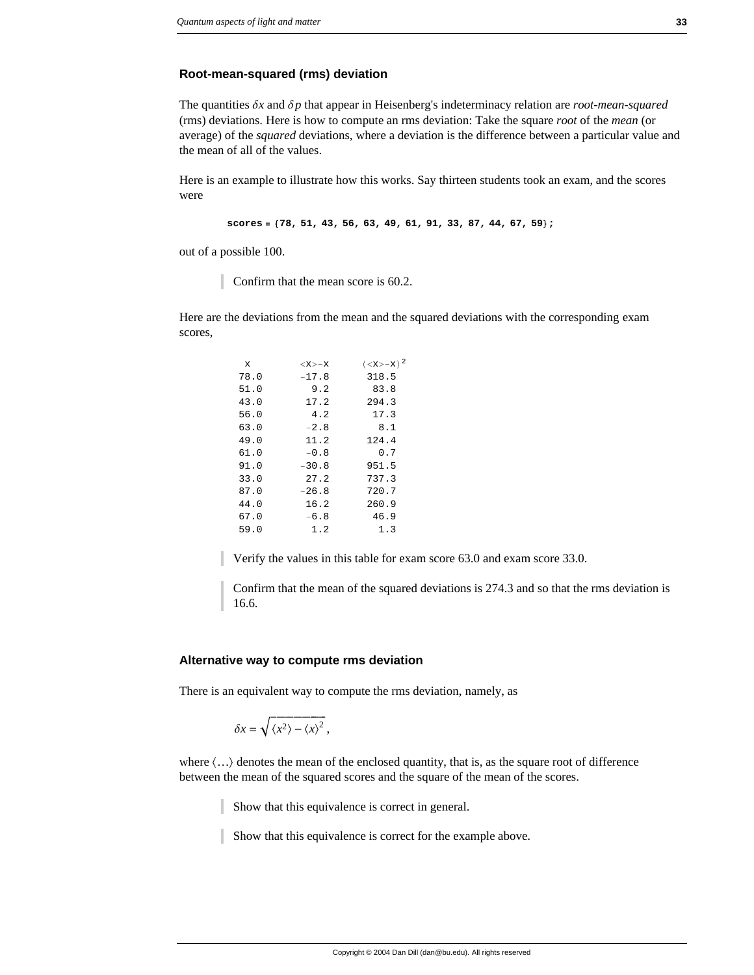### **Root-mean-squared (rms) deviation**

The quantities  $\delta x$  and  $\delta p$  that appear in Heisenberg's indeterminacy relation are *root-mean-squared* (rms) deviations. Here is how to compute an rms deviation: Take the square *root* of the *mean* (or average) of the *squared* deviations, where a deviation is the difference between a particular value and the mean of all of the values.

Here is an example to illustrate how this works. Say thirteen students took an exam, and the scores were

```
scores = 878, 51, 43, 56, 63, 49, 61, 91, 33, 87, 44, 67, 59<;
```
out of a possible 100.

Confirm that the mean score is 60.2.

Here are the deviations from the mean and the squared deviations with the corresponding exam scores,

| X    | $\langle x \rangle - x$ | $(x>-x)2$ |
|------|-------------------------|-----------|
| 78.0 | $-17.8$                 | 318.5     |
| 51.0 | 9.2                     | 83.8      |
| 43.0 | 17.2                    | 294.3     |
| 56.0 | 4.2                     | 17.3      |
| 63.0 | $-2.8$                  | 8.1       |
| 49.0 | 11.2                    | 124.4     |
| 61.0 | $-0.8$                  | 0.7       |
| 91.0 | $-30.8$                 | 951.5     |
| 33.0 | 27.2                    | 737.3     |
| 87.0 | $-26.8$                 | 720.7     |
| 44.0 | 16.2                    | 260.9     |
| 67.0 | $-6.8$                  | 46.9      |
| 59.0 | 1.2                     | 1.3       |
|      |                         |           |

Verify the values in this table for exam score 63.0 and exam score 33.0.

Confirm that the mean of the squared deviations is 274.3 and so that the rms deviation is 16.6.

#### **Alternative way to compute rms deviation**

There is an equivalent way to compute the rms deviation, namely, as

$$
\delta x = \sqrt{\langle x^2 \rangle - \langle x \rangle^2},
$$

where  $\langle \ldots \rangle$  denotes the mean of the enclosed quantity, that is, as the square root of difference between the mean of the squared scores and the square of the mean of the scores.

Show that this equivalence is correct in general.

Show that this equivalence is correct for the example above.